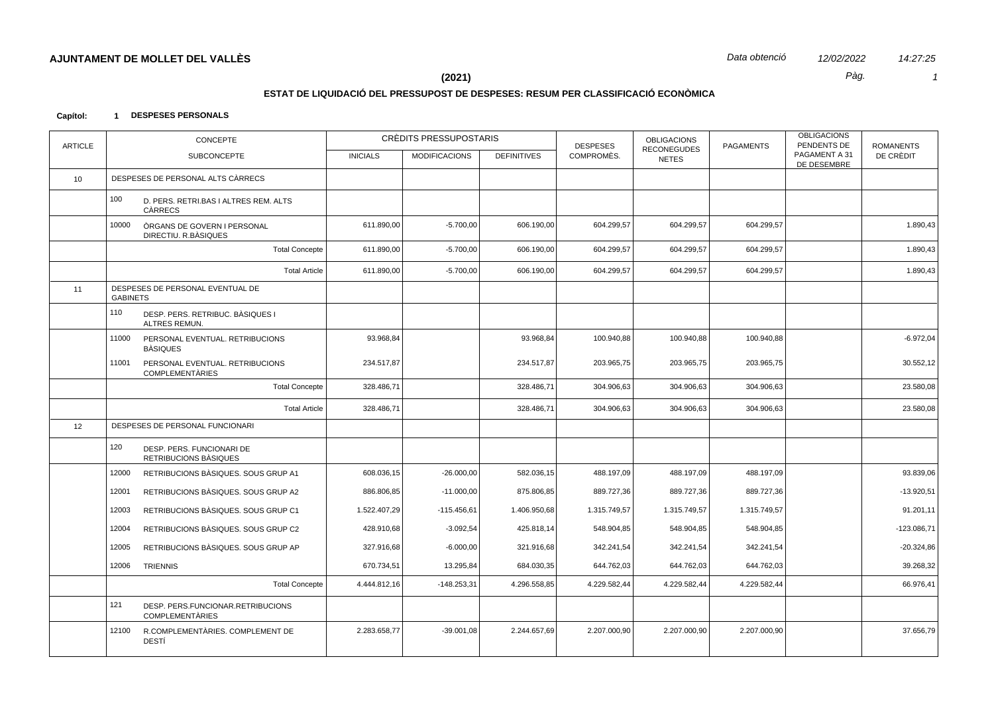## **ESTAT DE LIQUIDACIÓ DEL PRESSUPOST DE DESPESES: RESUM PER CLASSIFICACIÓ ECONÒMICA**

#### **Capítol: 1 DESPESES PERSONALS**

| <b>ARTICLE</b> | <b>CONCEPTE</b>                                                    |                 | CRÈDITS PRESSUPOSTARIS |                    | <b>DESPESES</b> | <b>OBLIGACIONS</b><br><b>RECONEGUDES</b> | <b>PAGAMENTS</b> | <b>OBLIGACIONS</b><br>PENDENTS DE | <b>ROMANENTS</b> |
|----------------|--------------------------------------------------------------------|-----------------|------------------------|--------------------|-----------------|------------------------------------------|------------------|-----------------------------------|------------------|
|                | <b>SUBCONCEPTE</b>                                                 | <b>INICIALS</b> | <b>MODIFICACIONS</b>   | <b>DEFINITIVES</b> | COMPROMÈS.      | <b>NETES</b>                             |                  | PAGAMENT A 31<br>DE DESEMBRE      | DE CRÈDIT        |
| 10             | DESPESES DE PERSONAL ALTS CÀRRECS                                  |                 |                        |                    |                 |                                          |                  |                                   |                  |
|                | 100<br>D. PERS. RETRI.BAS I ALTRES REM. ALTS<br>CÀRRECS            |                 |                        |                    |                 |                                          |                  |                                   |                  |
|                | ÒRGANS DE GOVERN I PERSONAL<br>10000<br>DIRECTIU. R.BÀSIQUES       | 611.890,00      | $-5.700,00$            | 606.190,00         | 604.299,57      | 604.299,57                               | 604.299,57       |                                   | 1.890,43         |
|                | <b>Total Concepte</b>                                              | 611.890,00      | $-5.700,00$            | 606.190,00         | 604.299,57      | 604.299,57                               | 604.299,57       |                                   | 1.890,43         |
|                | <b>Total Article</b>                                               | 611.890,00      | $-5.700,00$            | 606.190,00         | 604.299,57      | 604.299,57                               | 604.299,57       |                                   | 1.890,43         |
| 11             | DESPESES DE PERSONAL EVENTUAL DE<br><b>GABINETS</b>                |                 |                        |                    |                 |                                          |                  |                                   |                  |
|                | 110<br>DESP. PERS. RETRIBUC. BÀSIQUES I<br>ALTRES REMUN.           |                 |                        |                    |                 |                                          |                  |                                   |                  |
|                | 11000<br>PERSONAL EVENTUAL. RETRIBUCIONS<br><b>BÀSIQUES</b>        | 93.968.84       |                        | 93.968.84          | 100.940,88      | 100.940,88                               | 100.940.88       |                                   | $-6.972.04$      |
|                | 11001<br>PERSONAL EVENTUAL. RETRIBUCIONS<br><b>COMPLEMENTÀRIES</b> | 234.517,87      |                        | 234.517,87         | 203.965,75      | 203.965,75                               | 203.965,75       |                                   | 30.552,12        |
|                | <b>Total Concepte</b>                                              | 328.486,71      |                        | 328.486,71         | 304.906,63      | 304.906,63                               | 304.906,63       |                                   | 23.580,08        |
|                | <b>Total Article</b>                                               | 328.486,71      |                        | 328.486,71         | 304.906,63      | 304.906,63                               | 304.906,63       |                                   | 23.580,08        |
| 12             | DESPESES DE PERSONAL FUNCIONARI                                    |                 |                        |                    |                 |                                          |                  |                                   |                  |
|                | 120<br>DESP. PERS. FUNCIONARI DE<br>RETRIBUCIONS BÀSIQUES          |                 |                        |                    |                 |                                          |                  |                                   |                  |
|                | 12000<br>RETRIBUCIONS BASIQUES, SOUS GRUP A1                       | 608.036,15      | $-26.000,00$           | 582.036,15         | 488.197,09      | 488.197,09                               | 488.197,09       |                                   | 93.839,06        |
|                | 12001<br>RETRIBUCIONS BÀSIQUES. SOUS GRUP A2                       | 886.806,85      | $-11.000,00$           | 875.806,85         | 889.727,36      | 889.727,36                               | 889.727,36       |                                   | $-13.920,51$     |
|                | 12003<br>RETRIBUCIONS BÀSIQUES. SOUS GRUP C1                       | 1.522.407,29    | $-115.456,61$          | 1.406.950,68       | 1.315.749,57    | 1.315.749,57                             | 1.315.749,57     |                                   | 91.201,11        |
|                | 12004<br>RETRIBUCIONS BÀSIQUES. SOUS GRUP C2                       | 428.910,68      | $-3.092,54$            | 425.818,14         | 548.904,85      | 548.904,85                               | 548.904,85       |                                   | $-123.086,71$    |
|                | 12005<br>RETRIBUCIONS BÀSIQUES. SOUS GRUP AP                       | 327.916,68      | $-6.000,00$            | 321.916,68         | 342.241,54      | 342.241,54                               | 342.241,54       |                                   | $-20.324,86$     |
|                | 12006<br><b>TRIENNIS</b>                                           | 670.734,51      | 13.295,84              | 684.030,35         | 644.762,03      | 644.762,03                               | 644.762,03       |                                   | 39.268,32        |
|                | <b>Total Concepte</b>                                              | 4.444.812,16    | $-148.253,31$          | 4.296.558,85       | 4.229.582,44    | 4.229.582,44                             | 4.229.582,44     |                                   | 66.976,41        |
|                | 121<br>DESP. PERS.FUNCIONAR.RETRIBUCIONS<br><b>COMPLEMENTARIES</b> |                 |                        |                    |                 |                                          |                  |                                   |                  |
|                | 12100<br>R.COMPLEMENTÀRIES. COMPLEMENT DE<br>DESTÍ                 | 2.283.658,77    | $-39.001,08$           | 2.244.657,69       | 2.207.000,90    | 2.207.000,90                             | 2.207.000,90     |                                   | 37.656,79        |
|                |                                                                    |                 |                        |                    |                 |                                          |                  |                                   |                  |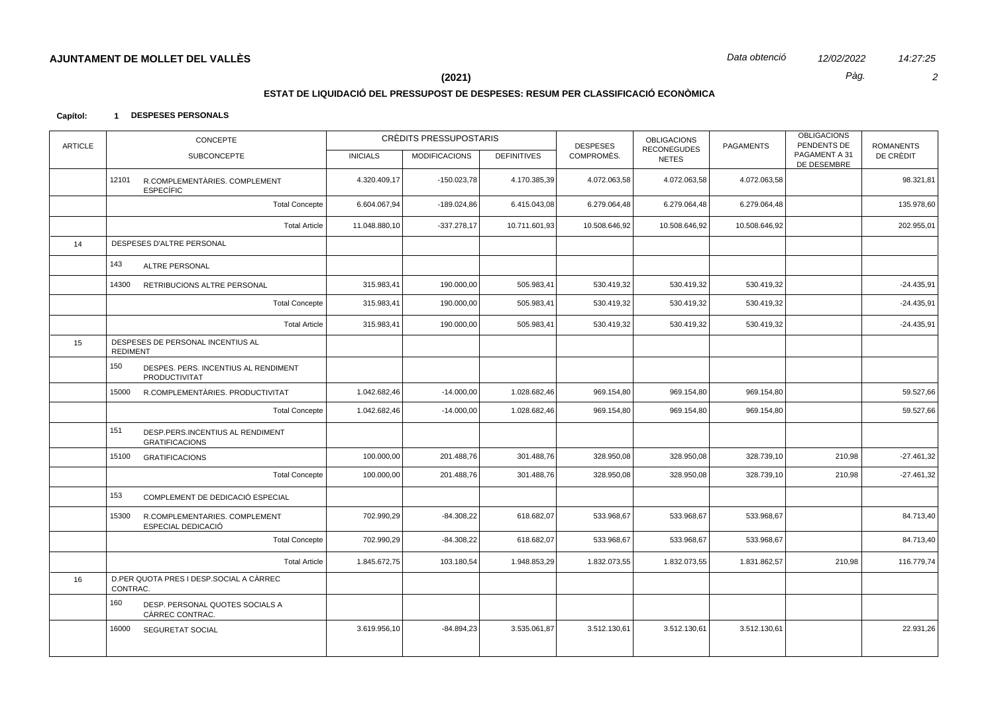$\overline{2}$ 

14:27:25

Pàg.

 $(2021)$ 

# ESTAT DE LIQUIDACIÓ DEL PRESSUPOST DE DESPESES: RESUM PER CLASSIFICACIÓ ECONÒMICA

#### Capítol: 1 DESPESES PERSONALS

| <b>ARTICLE</b> | <b>CONCEPTE</b>                                                  |                 | CRÈDITS PRESSUPOSTARIS |                    | <b>DESPESES</b> | <b>OBLIGACIONS</b><br><b>RECONEGUDES</b> | <b>PAGAMENTS</b> | <b>OBLIGACIONS</b><br>PENDENTS DE | <b>ROMANENTS</b> |
|----------------|------------------------------------------------------------------|-----------------|------------------------|--------------------|-----------------|------------------------------------------|------------------|-----------------------------------|------------------|
|                | <b>SUBCONCEPTE</b>                                               | <b>INICIALS</b> | <b>MODIFICACIONS</b>   | <b>DEFINITIVES</b> | COMPROMÈS.      | <b>NETES</b>                             |                  | PAGAMENT A 31<br>DE DESEMBRE      | DE CRÈDIT        |
|                | 12101<br>R.COMPLEMENTÀRIES. COMPLEMENT<br><b>ESPECÍFIC</b>       | 4.320.409,17    | $-150.023,78$          | 4.170.385,39       | 4.072.063,58    | 4.072.063,58                             | 4.072.063,58     |                                   | 98.321,81        |
|                | <b>Total Concepte</b>                                            | 6.604.067,94    | $-189.024,86$          | 6.415.043,08       | 6.279.064,48    | 6.279.064,48                             | 6.279.064,48     |                                   | 135.978,60       |
|                | <b>Total Article</b>                                             | 11.048.880,10   | $-337.278,17$          | 10.711.601,93      | 10.508.646,92   | 10.508.646,92                            | 10.508.646,92    |                                   | 202.955,01       |
| 14             | DESPESES D'ALTRE PERSONAL                                        |                 |                        |                    |                 |                                          |                  |                                   |                  |
|                | 143<br>ALTRE PERSONAL                                            |                 |                        |                    |                 |                                          |                  |                                   |                  |
|                | 14300<br>RETRIBUCIONS ALTRE PERSONAL                             | 315.983,41      | 190.000,00             | 505.983,41         | 530.419,32      | 530.419,32                               | 530.419,32       |                                   | $-24.435,91$     |
|                | <b>Total Concepte</b>                                            | 315.983,41      | 190.000,00             | 505.983,41         | 530.419,32      | 530.419,32                               | 530.419,32       |                                   | $-24.435,91$     |
|                | <b>Total Article</b>                                             | 315.983,41      | 190.000,00             | 505.983,41         | 530.419,32      | 530.419,32                               | 530.419,32       |                                   | $-24.435,91$     |
| 15             | DESPESES DE PERSONAL INCENTIUS AL<br><b>REDIMENT</b>             |                 |                        |                    |                 |                                          |                  |                                   |                  |
|                | 150<br>DESPES. PERS. INCENTIUS AL RENDIMENT<br>PRODUCTIVITAT     |                 |                        |                    |                 |                                          |                  |                                   |                  |
|                | 15000<br>R.COMPLEMENTARIES. PRODUCTIVITAT                        | 1.042.682,46    | $-14.000,00$           | 1.028.682,46       | 969.154,80      | 969.154,80                               | 969.154,80       |                                   | 59.527,66        |
|                | <b>Total Concepte</b>                                            | 1.042.682,46    | $-14.000,00$           | 1.028.682,46       | 969.154,80      | 969.154,80                               | 969.154,80       |                                   | 59.527,66        |
|                | 151<br>DESP.PERS.INCENTIUS AL RENDIMENT<br><b>GRATIFICACIONS</b> |                 |                        |                    |                 |                                          |                  |                                   |                  |
|                | 15100<br><b>GRATIFICACIONS</b>                                   | 100.000,00      | 201.488,76             | 301.488,76         | 328.950,08      | 328.950,08                               | 328.739,10       | 210,98                            | $-27.461,32$     |
|                | <b>Total Concepte</b>                                            | 100.000,00      | 201.488,76             | 301.488,76         | 328.950,08      | 328.950,08                               | 328.739,10       | 210,98                            | $-27.461,32$     |
|                | 153<br>COMPLEMENT DE DEDICACIÓ ESPECIAL                          |                 |                        |                    |                 |                                          |                  |                                   |                  |
|                | 15300<br>R.COMPLEMENTARIES. COMPLEMENT<br>ESPECIAL DEDICACIÓ     | 702.990,29      | $-84.308,22$           | 618.682,07         | 533.968,67      | 533.968,67                               | 533.968,67       |                                   | 84.713,40        |
|                | <b>Total Concepte</b>                                            | 702.990,29      | $-84.308,22$           | 618.682,07         | 533.968,67      | 533.968,67                               | 533.968,67       |                                   | 84.713,40        |
|                | <b>Total Article</b>                                             | 1.845.672,75    | 103.180,54             | 1.948.853,29       | 1.832.073,55    | 1.832.073,55                             | 1.831.862,57     | 210,98                            | 116.779,74       |
| 16             | D.PER QUOTA PRES I DESP.SOCIAL A CÀRREC<br>CONTRAC.              |                 |                        |                    |                 |                                          |                  |                                   |                  |
|                | 160<br>DESP. PERSONAL QUOTES SOCIALS A<br>CÀRREC CONTRAC.        |                 |                        |                    |                 |                                          |                  |                                   |                  |
|                | 16000<br><b>SEGURETAT SOCIAL</b>                                 | 3.619.956,10    | $-84.894,23$           | 3.535.061,87       | 3.512.130,61    | 3.512.130,61                             | 3.512.130,61     |                                   | 22.931,26        |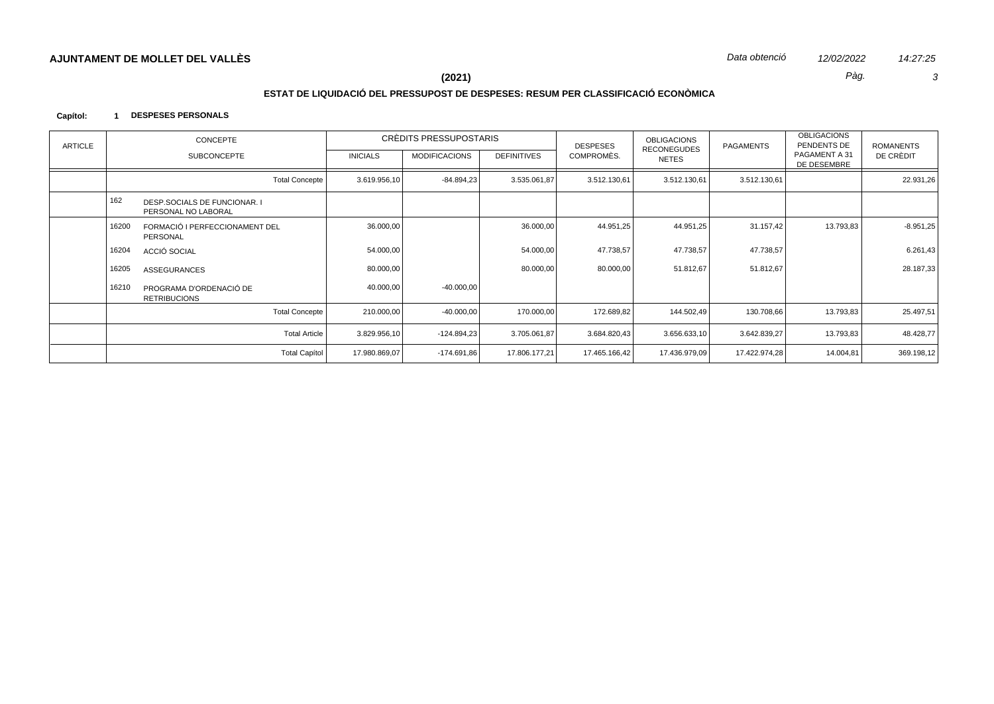$\mathbf{3}$ 

14:27:25

Pàg.

# $(2021)$

# ESTAT DE LIQUIDACIÓ DEL PRESSUPOST DE DESPESES: RESUM PER CLASSIFICACIÓ ECONÒMICA

#### Capítol: 1 DESPESES PERSONALS

| ARTICLE |       | CONCEPTE                                            |                 | CRÉDITS PRESSUPOSTARIS |                    | <b>DESPESES</b> | <b>OBLIGACIONS</b>                 | PAGAMENTS     | <b>OBLIGACIONS</b><br>PENDENTS DE | <b>ROMANENTS</b> |
|---------|-------|-----------------------------------------------------|-----------------|------------------------|--------------------|-----------------|------------------------------------|---------------|-----------------------------------|------------------|
|         |       | <b>SUBCONCEPTE</b>                                  | <b>INICIALS</b> | <b>MODIFICACIONS</b>   | <b>DEFINITIVES</b> | COMPROMÈS.      | <b>RECONEGUDES</b><br><b>NETES</b> |               | PAGAMENT A 31<br>DE DESEMBRE      | DE CRÈDIT        |
|         |       | <b>Total Concepte</b>                               | 3.619.956,10    | $-84.894.23$           | 3.535.061,87       | 3.512.130,61    | 3.512.130,61                       | 3.512.130,61  |                                   | 22.931,26        |
|         | 162   | DESP.SOCIALS DE FUNCIONAR. I<br>PERSONAL NO LABORAL |                 |                        |                    |                 |                                    |               |                                   |                  |
|         | 16200 | FORMACIÓ I PERFECCIONAMENT DEL<br>PERSONAL          | 36.000,00       |                        | 36.000,00          | 44.951,25       | 44.951,25                          | 31.157,42     | 13.793,83                         | $-8.951,25$      |
|         | 16204 | ACCIÓ SOCIAL                                        | 54.000,00       |                        | 54.000,00          | 47.738,57       | 47.738,57                          | 47.738,57     |                                   | 6.261,43         |
|         | 16205 | <b>ASSEGURANCES</b>                                 | 80.000,00       |                        | 80.000,00          | 80.000,00       | 51.812,67                          | 51.812,67     |                                   | 28.187,33        |
|         | 16210 | PROGRAMA D'ORDENACIÓ DE<br><b>RETRIBUCIONS</b>      | 40.000,00       | $-40.000,00$           |                    |                 |                                    |               |                                   |                  |
|         |       | <b>Total Concepte</b>                               | 210.000,00      | $-40.000,00$           | 170.000,00         | 172.689,82      | 144.502,49                         | 130.708,66    | 13.793,83                         | 25.497,51        |
|         |       | <b>Total Article</b>                                | 3.829.956,10    | $-124.894.23$          | 3.705.061,87       | 3.684.820,43    | 3.656.633,10                       | 3.642.839,27  | 13.793,83                         | 48.428,77        |
|         |       | <b>Total Capítol</b>                                | 17.980.869,07   | $-174.691.86$          | 17.806.177,21      | 17.465.166,42   | 17.436.979,09                      | 17.422.974,28 | 14.004,81                         | 369.198,12       |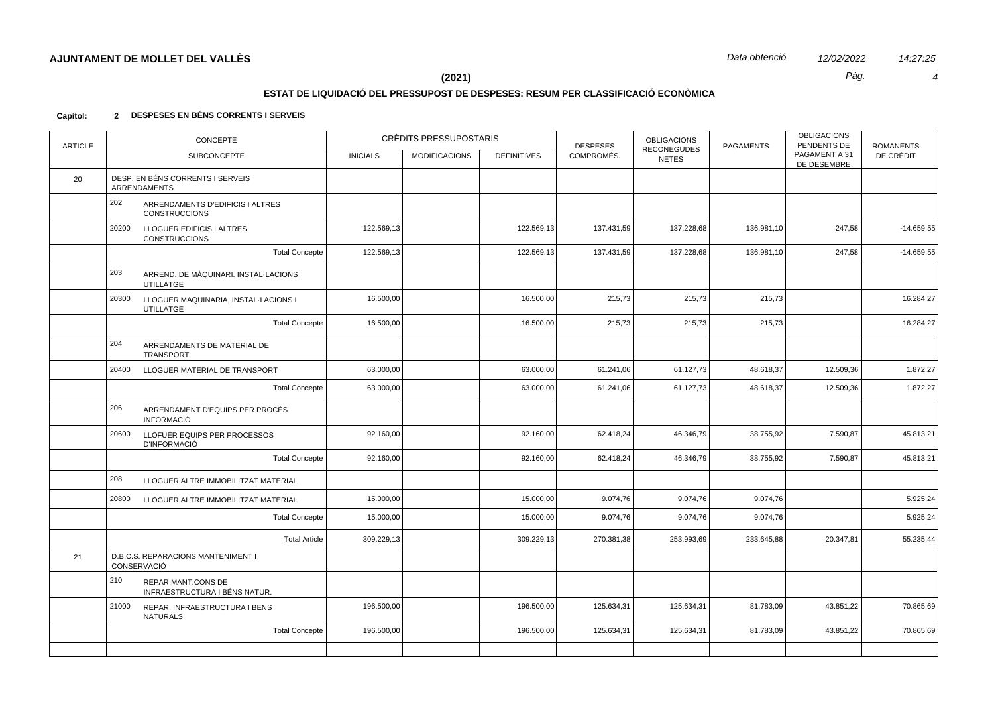# **ESTAT DE LIQUIDACIÓ DEL PRESSUPOST DE DESPESES: RESUM PER CLASSIFICACIÓ ECONÒMICA**

### **Capítol: 2 DESPESES EN BÉNS CORRENTS I SERVEIS**

| <b>ARTICLE</b> | <b>CONCEPTE</b>                                                   |                 | CRÈDITS PRESSUPOSTARIS |                    | <b>DESPESES</b> | <b>OBLIGACIONS</b><br><b>RECONEGUDES</b> | <b>PAGAMENTS</b> | <b>OBLIGACIONS</b><br>PENDENTS DE | <b>ROMANENTS</b> |
|----------------|-------------------------------------------------------------------|-----------------|------------------------|--------------------|-----------------|------------------------------------------|------------------|-----------------------------------|------------------|
|                | <b>SUBCONCEPTE</b>                                                | <b>INICIALS</b> | <b>MODIFICACIONS</b>   | <b>DEFINITIVES</b> | COMPROMÈS.      | <b>NETES</b>                             |                  | PAGAMENT A 31<br>DE DESEMBRE      | DE CRÈDIT        |
| 20             | DESP. EN BÉNS CORRENTS I SERVEIS<br><b>ARRENDAMENTS</b>           |                 |                        |                    |                 |                                          |                  |                                   |                  |
|                | 202<br>ARRENDAMENTS D'EDIFICIS I ALTRES<br><b>CONSTRUCCIONS</b>   |                 |                        |                    |                 |                                          |                  |                                   |                  |
|                | 20200<br>LLOGUER EDIFICIS I ALTRES<br><b>CONSTRUCCIONS</b>        | 122.569,13      |                        | 122.569,13         | 137.431,59      | 137.228,68                               | 136.981,10       | 247,58                            | $-14.659,55$     |
|                | <b>Total Concepte</b>                                             | 122.569,13      |                        | 122.569,13         | 137.431,59      | 137.228,68                               | 136.981,10       | 247,58                            | $-14.659,55$     |
|                | 203<br>ARREND. DE MÀQUINARI. INSTAL·LACIONS<br>UTILLATGE          |                 |                        |                    |                 |                                          |                  |                                   |                  |
|                | 20300<br>LLOGUER MAQUINARIA, INSTAL-LACIONS I<br><b>UTILLATGE</b> | 16.500,00       |                        | 16.500,00          | 215,73          | 215,73                                   | 215,73           |                                   | 16.284,27        |
|                | <b>Total Concepte</b>                                             | 16.500,00       |                        | 16.500,00          | 215,73          | 215,73                                   | 215,73           |                                   | 16.284,27        |
|                | 204<br>ARRENDAMENTS DE MATERIAL DE<br>TRANSPORT                   |                 |                        |                    |                 |                                          |                  |                                   |                  |
|                | 20400<br>LLOGUER MATERIAL DE TRANSPORT                            | 63.000,00       |                        | 63.000,00          | 61.241,06       | 61.127,73                                | 48.618,37        | 12.509,36                         | 1.872,27         |
|                | <b>Total Concepte</b>                                             | 63.000,00       |                        | 63.000,00          | 61.241,06       | 61.127,73                                | 48.618,37        | 12.509,36                         | 1.872,27         |
|                | 206<br>ARRENDAMENT D'EQUIPS PER PROCÈS<br><b>INFORMACIÓ</b>       |                 |                        |                    |                 |                                          |                  |                                   |                  |
|                | 20600<br>LLOFUER EQUIPS PER PROCESSOS<br><b>D'INFORMACIÓ</b>      | 92.160,00       |                        | 92.160,00          | 62.418,24       | 46.346,79                                | 38.755,92        | 7.590,87                          | 45.813,21        |
|                | <b>Total Concepte</b>                                             | 92.160,00       |                        | 92.160,00          | 62.418,24       | 46.346,79                                | 38.755,92        | 7.590,87                          | 45.813,21        |
|                | 208<br>LLOGUER ALTRE IMMOBILITZAT MATERIAL                        |                 |                        |                    |                 |                                          |                  |                                   |                  |
|                | 20800<br>LLOGUER ALTRE IMMOBILITZAT MATERIAL                      | 15.000,00       |                        | 15.000,00          | 9.074,76        | 9.074,76                                 | 9.074,76         |                                   | 5.925,24         |
|                | <b>Total Concepte</b>                                             | 15.000,00       |                        | 15.000,00          | 9.074,76        | 9.074,76                                 | 9.074,76         |                                   | 5.925,24         |
|                | <b>Total Article</b>                                              | 309.229,13      |                        | 309.229,13         | 270.381,38      | 253.993,69                               | 233.645,88       | 20.347,81                         | 55.235,44        |
| 21             | D.B.C.S. REPARACIONS MANTENIMENT I<br>CONSERVACIÓ                 |                 |                        |                    |                 |                                          |                  |                                   |                  |
|                | 210<br>REPAR.MANT.CONS DE<br>INFRAESTRUCTURA I BÉNS NATUR.        |                 |                        |                    |                 |                                          |                  |                                   |                  |
|                | 21000<br>REPAR. INFRAESTRUCTURA I BENS<br><b>NATURALS</b>         | 196.500,00      |                        | 196.500,00         | 125.634,31      | 125.634,31                               | 81.783,09        | 43.851,22                         | 70.865,69        |
|                | <b>Total Concepte</b>                                             | 196.500,00      |                        | 196.500,00         | 125.634,31      | 125.634,31                               | 81.783,09        | 43.851,22                         | 70.865,69        |
|                |                                                                   |                 |                        |                    |                 |                                          |                  |                                   |                  |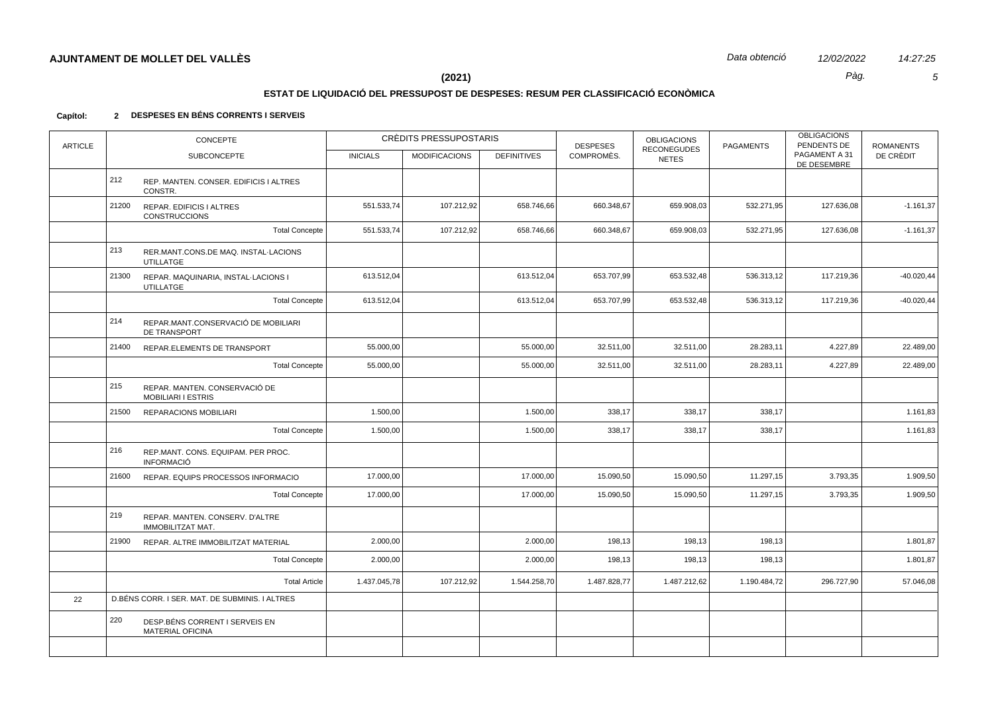$\sqrt{5}$ 

14:27:25

Pàg.

# $(2021)$

# ESTAT DE LIQUIDACIÓ DEL PRESSUPOST DE DESPESES: RESUM PER CLASSIFICACIÓ ECONÒMICA

| <b>ARTICLE</b> | <b>CONCEPTE</b> |                                                             | CRÈDITS PRESSUPOSTARIS |                      | <b>DESPESES</b>    | <b>OBLIGACIONS</b><br><b>RECONEGUDES</b> | <b>PAGAMENTS</b> | <b>OBLIGACIONS</b><br>PENDENTS DE | <b>ROMANENTS</b>             |               |
|----------------|-----------------|-------------------------------------------------------------|------------------------|----------------------|--------------------|------------------------------------------|------------------|-----------------------------------|------------------------------|---------------|
|                |                 | <b>SUBCONCEPTE</b>                                          | <b>INICIALS</b>        | <b>MODIFICACIONS</b> | <b>DEFINITIVES</b> | COMPROMÈS.                               | <b>NETES</b>     |                                   | PAGAMENT A 31<br>DE DESEMBRE | DE CRÈDIT     |
|                | 212             | REP. MANTEN. CONSER. EDIFICIS I ALTRES<br>CONSTR.           |                        |                      |                    |                                          |                  |                                   |                              |               |
|                | 21200           | REPAR. EDIFICIS I ALTRES<br><b>CONSTRUCCIONS</b>            | 551.533,74             | 107.212,92           | 658.746,66         | 660.348,67                               | 659.908,03       | 532.271,95                        | 127.636,08                   | $-1.161,37$   |
|                |                 | <b>Total Concepte</b>                                       | 551.533,74             | 107.212,92           | 658.746,66         | 660.348,67                               | 659.908,03       | 532.271,95                        | 127.636,08                   | $-1.161,37$   |
|                | 213             | RER.MANT.CONS.DE MAQ. INSTAL-LACIONS<br><b>UTILLATGE</b>    |                        |                      |                    |                                          |                  |                                   |                              |               |
|                | 21300           | REPAR. MAQUINARIA, INSTAL-LACIONS I<br><b>UTILLATGE</b>     | 613.512,04             |                      | 613.512,04         | 653.707,99                               | 653.532,48       | 536.313,12                        | 117.219,36                   | $-40.020, 44$ |
|                |                 | <b>Total Concepte</b>                                       | 613.512,04             |                      | 613.512,04         | 653.707,99                               | 653.532,48       | 536.313,12                        | 117.219,36                   | $-40.020, 44$ |
|                | 214             | REPAR.MANT.CONSERVACIÓ DE MOBILIARI<br>DE TRANSPORT         |                        |                      |                    |                                          |                  |                                   |                              |               |
|                | 21400           | REPAR.ELEMENTS DE TRANSPORT                                 | 55.000,00              |                      | 55.000,00          | 32.511,00                                | 32.511,00        | 28.283,11                         | 4.227,89                     | 22.489,00     |
|                |                 | <b>Total Concepte</b>                                       | 55.000,00              |                      | 55.000,00          | 32.511,00                                | 32.511,00        | 28.283,11                         | 4.227,89                     | 22.489,00     |
|                | 215             | REPAR. MANTEN. CONSERVACIÓ DE<br><b>MOBILIARI I ESTRIS</b>  |                        |                      |                    |                                          |                  |                                   |                              |               |
|                | 21500           | REPARACIONS MOBILIARI                                       | 1.500,00               |                      | 1.500,00           | 338,17                                   | 338,17           | 338,17                            |                              | 1.161,83      |
|                |                 | <b>Total Concepte</b>                                       | 1.500,00               |                      | 1.500,00           | 338,17                                   | 338,17           | 338,17                            |                              | 1.161,83      |
|                | 216             | REP.MANT. CONS. EQUIPAM. PER PROC.<br><b>INFORMACIÓ</b>     |                        |                      |                    |                                          |                  |                                   |                              |               |
|                | 21600           | REPAR. EQUIPS PROCESSOS INFORMACIO                          | 17.000,00              |                      | 17.000,00          | 15.090,50                                | 15.090,50        | 11.297,15                         | 3.793,35                     | 1.909,50      |
|                |                 | <b>Total Concepte</b>                                       | 17.000,00              |                      | 17.000,00          | 15.090,50                                | 15.090,50        | 11.297,15                         | 3.793,35                     | 1.909,50      |
|                | 219             | REPAR. MANTEN. CONSERV. D'ALTRE<br><b>IMMOBILITZAT MAT.</b> |                        |                      |                    |                                          |                  |                                   |                              |               |
|                | 21900           | REPAR. ALTRE IMMOBILITZAT MATERIAL                          | 2.000,00               |                      | 2.000,00           | 198,13                                   | 198,13           | 198,13                            |                              | 1.801,87      |
|                |                 | <b>Total Concepte</b>                                       | 2.000,00               |                      | 2.000,00           | 198,13                                   | 198,13           | 198,13                            |                              | 1.801,87      |
|                |                 | <b>Total Article</b>                                        | 1.437.045,78           | 107.212,92           | 1.544.258,70       | 1.487.828,77                             | 1.487.212,62     | 1.190.484,72                      | 296.727,90                   | 57.046,08     |
| 22             |                 | D.BÉNS CORR. I SER. MAT. DE SUBMINIS. I ALTRES              |                        |                      |                    |                                          |                  |                                   |                              |               |
|                | 220             | DESP.BÉNS CORRENT I SERVEIS EN<br><b>MATERIAL OFICINA</b>   |                        |                      |                    |                                          |                  |                                   |                              |               |
|                |                 |                                                             |                        |                      |                    |                                          |                  |                                   |                              |               |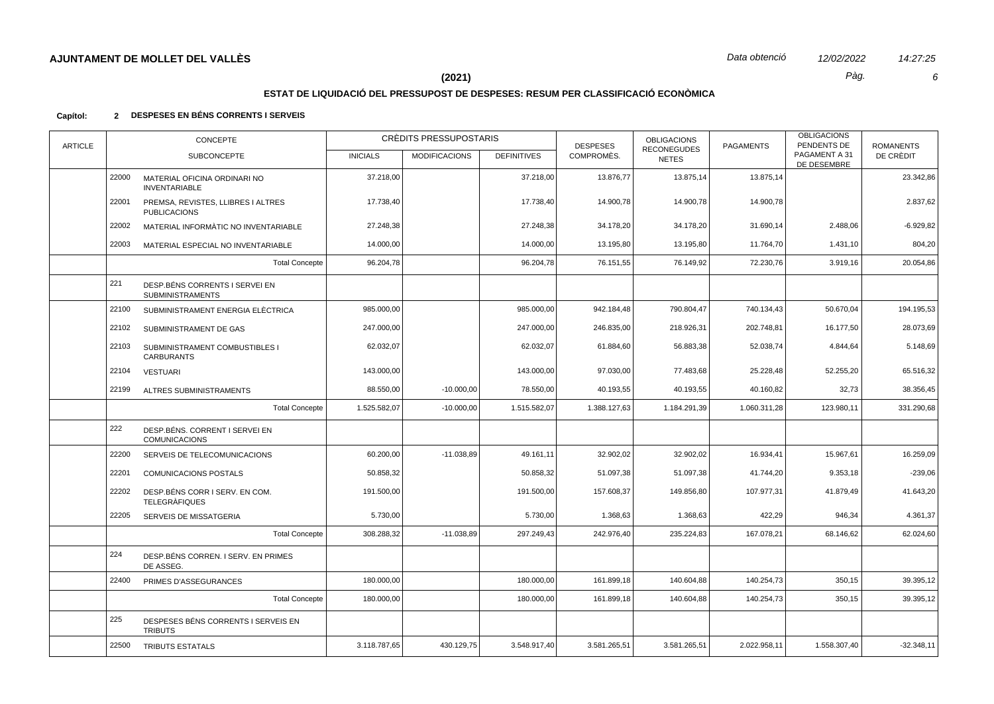$\epsilon$ 

14:27:25

Pàg.

# $(2021)$

# ESTAT DE LIQUIDACIÓ DEL PRESSUPOST DE DESPESES: RESUM PER CLASSIFICACIÓ ECONÒMICA

| <b>ARTICLE</b> |       | <b>CONCEPTE</b>                                           | CRÈDITS PRESSUPOSTARIS |                      |                    | <b>DESPESES</b> | <b>OBLIGACIONS</b><br><b>RECONEGUDES</b> | <b>PAGAMENTS</b> | <b>OBLIGACIONS</b><br>PENDENTS DE | <b>ROMANENTS</b> |
|----------------|-------|-----------------------------------------------------------|------------------------|----------------------|--------------------|-----------------|------------------------------------------|------------------|-----------------------------------|------------------|
|                |       | <b>SUBCONCEPTE</b>                                        | <b>INICIALS</b>        | <b>MODIFICACIONS</b> | <b>DEFINITIVES</b> | COMPROMÈS.      | <b>NETES</b>                             |                  | PAGAMENT A 31<br>DE DESEMBRE      | DE CRÈDIT        |
|                | 22000 | MATERIAL OFICINA ORDINARI NO<br><b>INVENTARIABLE</b>      | 37.218,00              |                      | 37.218,00          | 13.876,77       | 13.875,14                                | 13.875,14        |                                   | 23.342,86        |
|                | 22001 | PREMSA, REVISTES, LLIBRES I ALTRES<br><b>PUBLICACIONS</b> | 17.738,40              |                      | 17.738,40          | 14.900,78       | 14.900,78                                | 14.900,78        |                                   | 2.837,62         |
|                | 22002 | MATERIAL INFORMATIC NO INVENTARIABLE                      | 27.248,38              |                      | 27.248,38          | 34.178,20       | 34.178,20                                | 31.690,14        | 2.488,06                          | $-6.929,82$      |
|                | 22003 | MATERIAL ESPECIAL NO INVENTARIABLE                        | 14.000,00              |                      | 14.000,00          | 13.195,80       | 13.195,80                                | 11.764,70        | 1.431,10                          | 804,20           |
|                |       | <b>Total Concepte</b>                                     | 96.204,78              |                      | 96.204,78          | 76.151,55       | 76.149,92                                | 72.230,76        | 3.919,16                          | 20.054,86        |
|                | 221   | DESP.BÉNS CORRENTS I SERVEI EN<br><b>SUBMINISTRAMENTS</b> |                        |                      |                    |                 |                                          |                  |                                   |                  |
|                | 22100 | SUBMINISTRAMENT ENERGIA ELÈCTRICA                         | 985.000,00             |                      | 985.000,00         | 942.184,48      | 790.804,47                               | 740.134,43       | 50.670,04                         | 194.195,53       |
|                | 22102 | SUBMINISTRAMENT DE GAS                                    | 247.000,00             |                      | 247.000,00         | 246.835,00      | 218.926,31                               | 202.748,81       | 16.177,50                         | 28.073,69        |
|                | 22103 | SUBMINISTRAMENT COMBUSTIBLES I<br><b>CARBURANTS</b>       | 62.032,07              |                      | 62.032,07          | 61.884,60       | 56.883,38                                | 52.038,74        | 4.844,64                          | 5.148,69         |
|                | 22104 | <b>VESTUARI</b>                                           | 143.000,00             |                      | 143.000,00         | 97.030,00       | 77.483,68                                | 25.228,48        | 52.255,20                         | 65.516,32        |
|                | 22199 | ALTRES SUBMINISTRAMENTS                                   | 88.550,00              | $-10.000,00$         | 78.550,00          | 40.193,55       | 40.193,55                                | 40.160,82        | 32,73                             | 38.356,45        |
|                |       | <b>Total Concepte</b>                                     | 1.525.582,07           | $-10.000,00$         | 1.515.582,07       | 1.388.127,63    | 1.184.291,39                             | 1.060.311,28     | 123.980,11                        | 331.290,68       |
|                | 222   | DESP.BÉNS, CORRENT I SERVEI EN<br><b>COMUNICACIONS</b>    |                        |                      |                    |                 |                                          |                  |                                   |                  |
|                | 22200 | SERVEIS DE TELECOMUNICACIONS                              | 60.200,00              | $-11.038,89$         | 49.161,11          | 32.902,02       | 32.902,02                                | 16.934,41        | 15.967,61                         | 16.259,09        |
|                | 22201 | COMUNICACIONS POSTALS                                     | 50.858,32              |                      | 50.858,32          | 51.097,38       | 51.097,38                                | 41.744,20        | 9.353,18                          | $-239,06$        |
|                | 22202 | DESP.BÉNS CORR I SERV. EN COM.<br><b>TELEGRÀFIQUES</b>    | 191.500,00             |                      | 191.500,00         | 157.608,37      | 149.856,80                               | 107.977,31       | 41.879,49                         | 41.643,20        |
|                | 22205 | <b>SERVEIS DE MISSATGERIA</b>                             | 5.730,00               |                      | 5.730,00           | 1.368,63        | 1.368,63                                 | 422,29           | 946,34                            | 4.361,37         |
|                |       | <b>Total Concepte</b>                                     | 308.288,32             | $-11.038,89$         | 297.249,43         | 242.976,40      | 235.224,83                               | 167.078,21       | 68.146,62                         | 62.024,60        |
|                | 224   | DESP.BÉNS CORREN. I SERV. EN PRIMES<br>DE ASSEG.          |                        |                      |                    |                 |                                          |                  |                                   |                  |
|                | 22400 | PRIMES D'ASSEGURANCES                                     | 180.000,00             |                      | 180.000,00         | 161.899,18      | 140.604,88                               | 140.254,73       | 350,15                            | 39.395,12        |
|                |       | <b>Total Concepte</b>                                     | 180.000,00             |                      | 180.000,00         | 161.899,18      | 140.604,88                               | 140.254,73       | 350,15                            | 39.395,12        |
|                | 225   | DESPESES BÉNS CORRENTS I SERVEIS EN<br><b>TRIBUTS</b>     |                        |                      |                    |                 |                                          |                  |                                   |                  |
|                | 22500 | <b>TRIBUTS ESTATALS</b>                                   | 3.118.787,65           | 430.129,75           | 3.548.917,40       | 3.581.265,51    | 3.581.265,51                             | 2.022.958,11     | 1.558.307,40                      | $-32.348,11$     |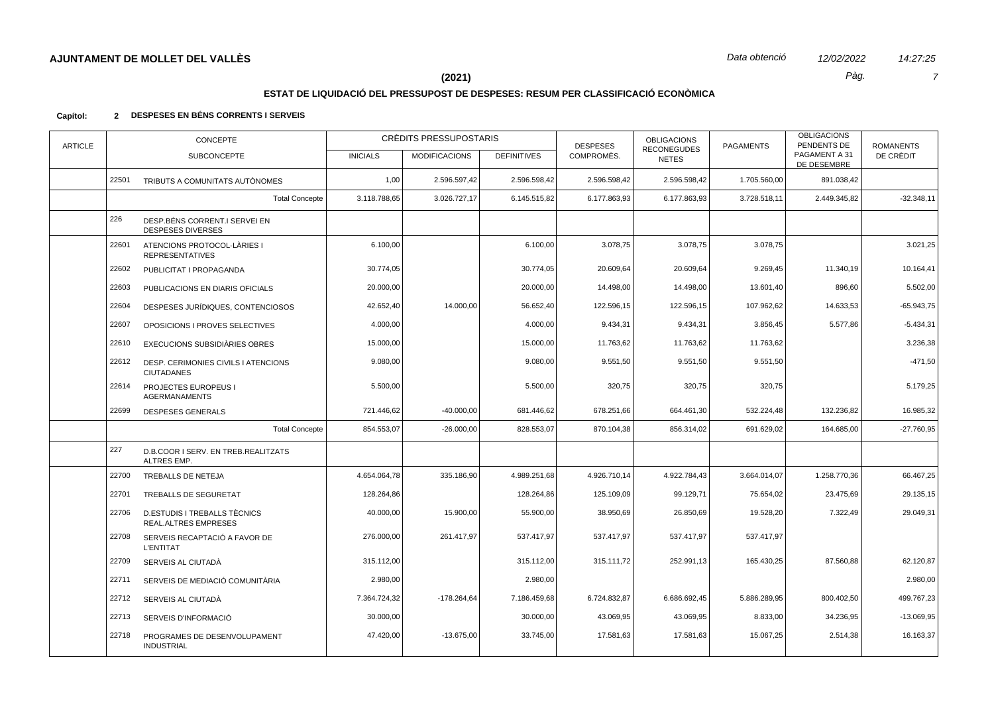$\overline{7}$ 

14:27:25

Pàg.

# $(2021)$

# ESTAT DE LIQUIDACIÓ DEL PRESSUPOST DE DESPESES: RESUM PER CLASSIFICACIÓ ECONÒMICA

| <b>ARTICLE</b> | CONCEPTE |                                                             | CRÈDITS PRESSUPOSTARIS |                      |                    | <b>DESPESES</b> | <b>OBLIGACIONS</b><br><b>RECONEGUDES</b> | <b>PAGAMENTS</b> | <b>OBLIGACIONS</b><br>PENDENTS DE | <b>ROMANENTS</b> |
|----------------|----------|-------------------------------------------------------------|------------------------|----------------------|--------------------|-----------------|------------------------------------------|------------------|-----------------------------------|------------------|
|                |          | <b>SUBCONCEPTE</b>                                          | <b>INICIALS</b>        | <b>MODIFICACIONS</b> | <b>DEFINITIVES</b> | COMPROMÈS.      | <b>NETES</b>                             |                  | PAGAMENT A 31<br>DE DESEMBRE      | DE CRÈDIT        |
|                | 22501    | TRIBUTS A COMUNITATS AUTÒNOMES                              | 1,00                   | 2.596.597,42         | 2.596.598,42       | 2.596.598,42    | 2.596.598,42                             | 1.705.560,00     | 891.038,42                        |                  |
|                |          | <b>Total Concepte</b>                                       | 3.118.788,65           | 3.026.727,17         | 6.145.515,82       | 6.177.863,93    | 6.177.863,93                             | 3.728.518,11     | 2.449.345,82                      | $-32.348,11$     |
|                | 226      | DESP.BÉNS CORRENT.I SERVEI EN<br><b>DESPESES DIVERSES</b>   |                        |                      |                    |                 |                                          |                  |                                   |                  |
|                | 22601    | ATENCIONS PROTOCOL·LÀRIES I<br><b>REPRESENTATIVES</b>       | 6.100,00               |                      | 6.100,00           | 3.078,75        | 3.078,75                                 | 3.078,75         |                                   | 3.021,25         |
|                | 22602    | PUBLICITAT I PROPAGANDA                                     | 30.774,05              |                      | 30.774,05          | 20.609,64       | 20.609,64                                | 9.269,45         | 11.340,19                         | 10.164,41        |
|                | 22603    | PUBLICACIONS EN DIARIS OFICIALS                             | 20.000,00              |                      | 20.000,00          | 14.498,00       | 14.498,00                                | 13.601,40        | 896,60                            | 5.502,00         |
|                | 22604    | DESPESES JURÍDIQUES, CONTENCIOSOS                           | 42.652,40              | 14.000,00            | 56.652,40          | 122.596,15      | 122.596,15                               | 107.962,62       | 14.633,53                         | $-65.943.75$     |
|                | 22607    | OPOSICIONS I PROVES SELECTIVES                              | 4.000,00               |                      | 4.000,00           | 9.434,31        | 9.434,31                                 | 3.856,45         | 5.577,86                          | $-5.434,31$      |
|                | 22610    | EXECUCIONS SUBSIDIÀRIES OBRES                               | 15.000,00              |                      | 15.000,00          | 11.763,62       | 11.763,62                                | 11.763,62        |                                   | 3.236,38         |
|                | 22612    | DESP. CERIMONIES CIVILS I ATENCIONS<br><b>CIUTADANES</b>    | 9.080,00               |                      | 9.080,00           | 9.551,50        | 9.551,50                                 | 9.551,50         |                                   | $-471,50$        |
|                | 22614    | PROJECTES EUROPEUS I<br><b>AGERMANAMENTS</b>                | 5.500,00               |                      | 5.500,00           | 320,75          | 320,75                                   | 320,75           |                                   | 5.179,25         |
|                | 22699    | <b>DESPESES GENERALS</b>                                    | 721.446,62             | $-40.000,00$         | 681.446,62         | 678.251,66      | 664.461,30                               | 532.224,48       | 132.236,82                        | 16.985,32        |
|                |          | <b>Total Concepte</b>                                       | 854.553,07             | $-26.000,00$         | 828.553,07         | 870.104,38      | 856.314,02                               | 691.629,02       | 164.685,00                        | $-27.760,95$     |
|                | 227      | D.B.COOR I SERV. EN TREB.REALITZATS<br>ALTRES EMP.          |                        |                      |                    |                 |                                          |                  |                                   |                  |
|                | 22700    | <b>TREBALLS DE NETEJA</b>                                   | 4.654.064,78           | 335.186,90           | 4.989.251,68       | 4.926.710,14    | 4.922.784,43                             | 3.664.014,07     | 1.258.770,36                      | 66.467,25        |
|                | 22701    | TREBALLS DE SEGURETAT                                       | 128.264,86             |                      | 128.264,86         | 125.109,09      | 99.129,71                                | 75.654,02        | 23.475,69                         | 29.135,15        |
|                | 22706    | D.ESTUDIS I TREBALLS TÈCNICS<br><b>REAL.ALTRES EMPRESES</b> | 40.000,00              | 15.900,00            | 55.900,00          | 38.950,69       | 26.850,69                                | 19.528,20        | 7.322,49                          | 29.049,31        |
|                | 22708    | SERVEIS RECAPTACIÓ A FAVOR DE<br><b>L'ENTITAT</b>           | 276.000,00             | 261.417,97           | 537.417,97         | 537.417,97      | 537.417,97                               | 537.417,97       |                                   |                  |
|                | 22709    | SERVEIS AL CIUTADÀ                                          | 315.112,00             |                      | 315.112,00         | 315.111,72      | 252.991,13                               | 165.430,25       | 87.560,88                         | 62.120,87        |
|                | 22711    | SERVEIS DE MEDIACIÓ COMUNITÀRIA                             | 2.980,00               |                      | 2.980,00           |                 |                                          |                  |                                   | 2.980,00         |
|                | 22712    | SERVEIS AL CIUTADÀ                                          | 7.364.724,32           | $-178.264,64$        | 7.186.459,68       | 6.724.832,87    | 6.686.692,45                             | 5.886.289,95     | 800.402,50                        | 499.767,23       |
|                | 22713    | SERVEIS D'INFORMACIÓ                                        | 30.000,00              |                      | 30.000,00          | 43.069,95       | 43.069,95                                | 8.833,00         | 34.236,95                         | $-13.069,95$     |
|                | 22718    | PROGRAMES DE DESENVOLUPAMENT<br><b>INDUSTRIAL</b>           | 47.420,00              | $-13.675,00$         | 33.745,00          | 17.581,63       | 17.581,63                                | 15.067,25        | 2.514,38                          | 16.163,37        |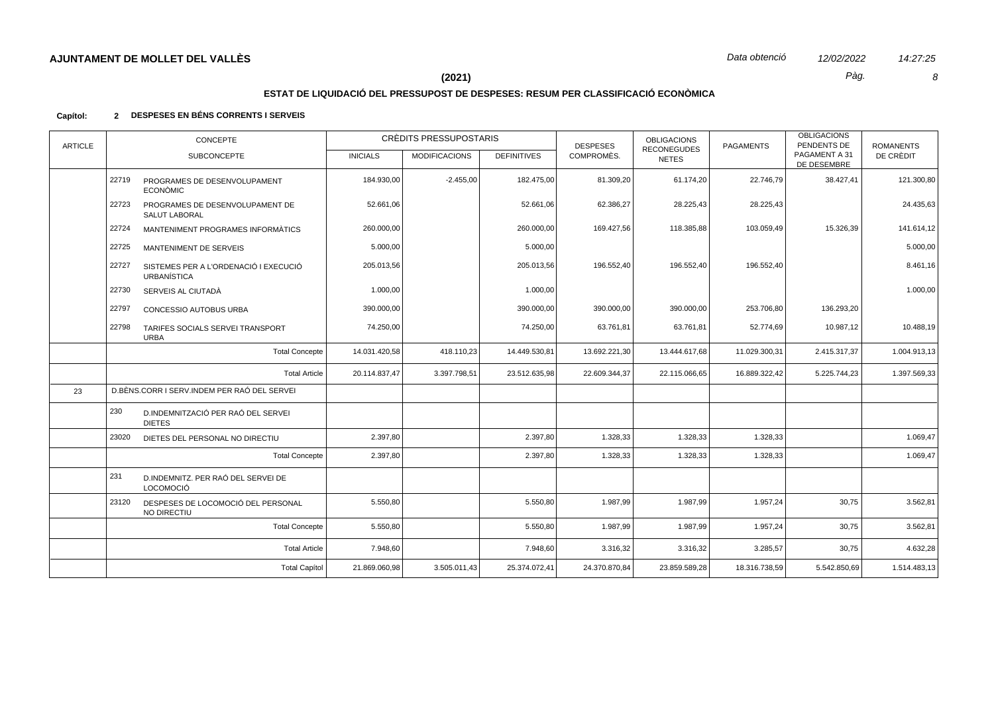$\pmb{8}$ 

14:27:25

Pàg.

# $(2021)$

# ESTAT DE LIQUIDACIÓ DEL PRESSUPOST DE DESPESES: RESUM PER CLASSIFICACIÓ ECONÒMICA

| <b>ARTICLE</b> | <b>CONCEPTE</b>                                                      |                 | CRÈDITS PRESSUPOSTARIS |                    | <b>DESPESES</b> | <b>OBLIGACIONS</b>                 | <b>PAGAMENTS</b> | <b>OBLIGACIONS</b><br>PENDENTS DE | <b>ROMANENTS</b> |
|----------------|----------------------------------------------------------------------|-----------------|------------------------|--------------------|-----------------|------------------------------------|------------------|-----------------------------------|------------------|
|                | <b>SUBCONCEPTE</b>                                                   | <b>INICIALS</b> | <b>MODIFICACIONS</b>   | <b>DEFINITIVES</b> | COMPROMÈS.      | <b>RECONEGUDES</b><br><b>NETES</b> |                  | PAGAMENT A 31<br>DE DESEMBRE      | DE CRÈDIT        |
|                | 22719<br>PROGRAMES DE DESENVOLUPAMENT<br><b>ECONÒMIC</b>             | 184.930,00      | $-2.455,00$            | 182.475,00         | 81.309,20       | 61.174,20                          | 22.746,79        | 38.427,41                         | 121.300,80       |
|                | 22723<br>PROGRAMES DE DESENVOLUPAMENT DE<br><b>SALUT LABORAL</b>     | 52.661,06       |                        | 52.661,06          | 62.386,27       | 28.225,43                          | 28.225,43        |                                   | 24.435,63        |
|                | 22724<br>MANTENIMENT PROGRAMES INFORMÀTICS                           | 260.000,00      |                        | 260.000,00         | 169.427,56      | 118.385,88                         | 103.059,49       | 15.326,39                         | 141.614,12       |
|                | 22725<br>MANTENIMENT DE SERVEIS                                      | 5.000,00        |                        | 5.000,00           |                 |                                    |                  |                                   | 5.000,00         |
|                | 22727<br>SISTEMES PER A L'ORDENACIÓ I EXECUCIÓ<br><b>URBANÍSTICA</b> | 205.013,56      |                        | 205.013,56         | 196.552,40      | 196.552,40                         | 196.552,40       |                                   | 8.461,16         |
|                | 22730<br>SERVEIS AL CIUTADÀ                                          | 1.000,00        |                        | 1.000,00           |                 |                                    |                  |                                   | 1.000,00         |
|                | 22797<br>CONCESSIO AUTOBUS URBA                                      | 390.000,00      |                        | 390.000,00         | 390.000,00      | 390.000,00                         | 253.706,80       | 136.293,20                        |                  |
|                | 22798<br>TARIFES SOCIALS SERVEI TRANSPORT<br><b>URBA</b>             | 74.250,00       |                        | 74.250,00          | 63.761,81       | 63.761,81                          | 52.774,69        | 10.987,12                         | 10.488,19        |
|                | <b>Total Concepte</b>                                                | 14.031.420,58   | 418.110,23             | 14.449.530,81      | 13.692.221,30   | 13.444.617,68                      | 11.029.300,31    | 2.415.317,37                      | 1.004.913,13     |
|                | <b>Total Article</b>                                                 | 20.114.837,47   | 3.397.798,51           | 23.512.635,98      | 22.609.344,37   | 22.115.066,65                      | 16.889.322,42    | 5.225.744,23                      | 1.397.569,33     |
| 23             | D.BÈNS.CORR I SERV.INDEM PER RAÓ DEL SERVEI                          |                 |                        |                    |                 |                                    |                  |                                   |                  |
|                | 230<br>D.INDEMNITZACIÓ PER RAÓ DEL SERVEI<br><b>DIETES</b>           |                 |                        |                    |                 |                                    |                  |                                   |                  |
|                | 23020<br>DIETES DEL PERSONAL NO DIRECTIU                             | 2.397,80        |                        | 2.397,80           | 1.328,33        | 1.328,33                           | 1.328,33         |                                   | 1.069,47         |
|                | <b>Total Concepte</b>                                                | 2.397,80        |                        | 2.397,80           | 1.328,33        | 1.328,33                           | 1.328,33         |                                   | 1.069,47         |
|                | 231<br>D.INDEMNITZ, PER RAÓ DEL SERVEI DE<br><b>LOCOMOCIÓ</b>        |                 |                        |                    |                 |                                    |                  |                                   |                  |
|                | 23120<br>DESPESES DE LOCOMOCIÓ DEL PERSONAL<br>NO DIRECTIU           | 5.550,80        |                        | 5.550,80           | 1.987,99        | 1.987,99                           | 1.957,24         | 30,75                             | 3.562,81         |
|                | <b>Total Concepte</b>                                                | 5.550,80        |                        | 5.550,80           | 1.987,99        | 1.987,99                           | 1.957,24         | 30,75                             | 3.562,81         |
|                | <b>Total Article</b>                                                 | 7.948,60        |                        | 7.948,60           | 3.316,32        | 3.316,32                           | 3.285,57         | 30,75                             | 4.632,28         |
|                | <b>Total Capítol</b>                                                 | 21.869.060,98   | 3.505.011,43           | 25.374.072,41      | 24.370.870,84   | 23.859.589,28                      | 18.316.738,59    | 5.542.850,69                      | 1.514.483,13     |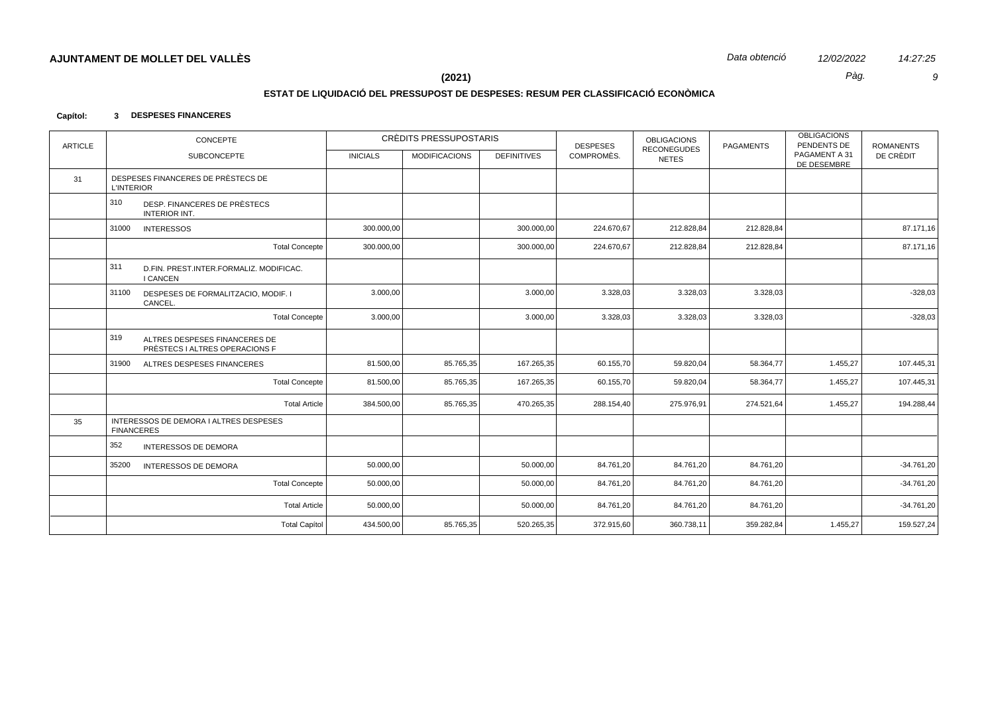Pàg.

14:27:25  $\boldsymbol{g}$ 

 $(2021)$ 

## ESTAT DE LIQUIDACIÓ DEL PRESSUPOST DE DESPESES: RESUM PER CLASSIFICACIÓ ECONÒMICA

#### Capítol: 3 DESPESES FINANCERES

| <b>ARTICLE</b> | CONCEPTE                                                               |                 | CRÈDITS PRESSUPOSTARIS |                    | <b>DESPESES</b> | <b>OBLIGACIONS</b>                 | <b>PAGAMENTS</b> | <b>OBLIGACIONS</b><br>PENDENTS DE | <b>ROMANENTS</b> |
|----------------|------------------------------------------------------------------------|-----------------|------------------------|--------------------|-----------------|------------------------------------|------------------|-----------------------------------|------------------|
|                | <b>SUBCONCEPTE</b>                                                     | <b>INICIALS</b> | <b>MODIFICACIONS</b>   | <b>DEFINITIVES</b> | COMPROMÈS.      | <b>RECONEGUDES</b><br><b>NETES</b> |                  | PAGAMENT A 31<br>DE DESEMBRE      | DE CRÈDIT        |
| 31             | DESPESES FINANCERES DE PRÈSTECS DE<br><b>L'INTERIOR</b>                |                 |                        |                    |                 |                                    |                  |                                   |                  |
|                | 310<br>DESP. FINANCERES DE PRÈSTECS<br><b>INTERIOR INT.</b>            |                 |                        |                    |                 |                                    |                  |                                   |                  |
|                | 31000<br><b>INTERESSOS</b>                                             | 300.000,00      |                        | 300.000,00         | 224.670,67      | 212.828,84                         | 212.828,84       |                                   | 87.171,16        |
|                | <b>Total Concepte</b>                                                  | 300.000,00      |                        | 300.000,00         | 224.670,67      | 212.828,84                         | 212.828,84       |                                   | 87.171,16        |
|                | 311<br>D.FIN. PREST.INTER.FORMALIZ. MODIFICAC.<br><b>I CANCEN</b>      |                 |                        |                    |                 |                                    |                  |                                   |                  |
|                | 31100<br>DESPESES DE FORMALITZACIO, MODIF. I<br>CANCEL.                | 3.000,00        |                        | 3.000,00           | 3.328,03        | 3.328,03                           | 3.328,03         |                                   | $-328,03$        |
|                | <b>Total Concepte</b>                                                  | 3.000,00        |                        | 3.000,00           | 3.328,03        | 3.328,03                           | 3.328,03         |                                   | $-328,03$        |
|                | 319<br>ALTRES DESPESES FINANCERES DE<br>PRÈSTECS I ALTRES OPERACIONS F |                 |                        |                    |                 |                                    |                  |                                   |                  |
|                | 31900<br>ALTRES DESPESES FINANCERES                                    | 81.500,00       | 85.765,35              | 167.265,35         | 60.155,70       | 59.820,04                          | 58.364,77        | 1.455,27                          | 107.445,31       |
|                | <b>Total Concepte</b>                                                  | 81.500,00       | 85.765,35              | 167.265,35         | 60.155,70       | 59.820,04                          | 58.364,77        | 1.455,27                          | 107.445,31       |
|                | <b>Total Article</b>                                                   | 384.500,00      | 85.765,35              | 470.265,35         | 288.154,40      | 275.976,91                         | 274.521,64       | 1.455,27                          | 194.288,44       |
| 35             | INTERESSOS DE DEMORA I ALTRES DESPESES<br><b>FINANCERES</b>            |                 |                        |                    |                 |                                    |                  |                                   |                  |
|                | 352<br><b>INTERESSOS DE DEMORA</b>                                     |                 |                        |                    |                 |                                    |                  |                                   |                  |
|                | 35200<br>INTERESSOS DE DEMORA                                          | 50.000,00       |                        | 50.000,00          | 84.761,20       | 84.761,20                          | 84.761,20        |                                   | $-34.761,20$     |
|                | <b>Total Concepte</b>                                                  | 50.000,00       |                        | 50.000,00          | 84.761,20       | 84.761,20                          | 84.761,20        |                                   | $-34.761,20$     |
|                | <b>Total Article</b>                                                   | 50.000,00       |                        | 50.000,00          | 84.761,20       | 84.761,20                          | 84.761,20        |                                   | $-34.761,20$     |
|                | <b>Total Capítol</b>                                                   | 434.500,00      | 85.765,35              | 520.265,35         | 372.915,60      | 360.738,11                         | 359.282.84       | 1.455,27                          | 159.527,24       |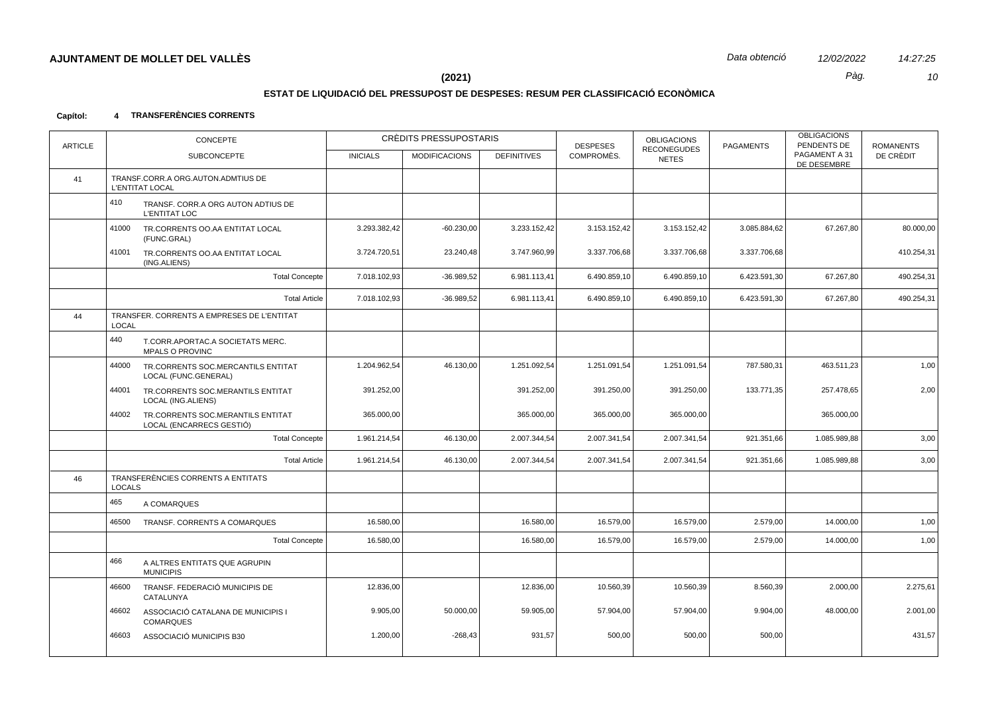# **ESTAT DE LIQUIDACIÓ DEL PRESSUPOST DE DESPESES: RESUM PER CLASSIFICACIÓ ECONÒMICA**

### **Capítol: 4 TRANSFERÈNCIES CORRENTS**

| <b>ARTICLE</b> | CONCEPTE<br><b>SUBCONCEPTE</b>                                         | CRÈDITS PRESSUPOSTARIS<br><b>INICIALS</b><br><b>MODIFICACIONS</b><br><b>DEFINITIVES</b> |              | <b>DESPESES</b><br>COMPROMÈS. | <b>OBLIGACIONS</b><br><b>RECONEGUDES</b> | <b>PAGAMENTS</b> | <b>OBLIGACIONS</b><br>PENDENTS DE<br>PAGAMENT A 31 | <b>ROMANENTS</b><br>DE CRÈDIT |            |
|----------------|------------------------------------------------------------------------|-----------------------------------------------------------------------------------------|--------------|-------------------------------|------------------------------------------|------------------|----------------------------------------------------|-------------------------------|------------|
|                |                                                                        |                                                                                         |              |                               |                                          | <b>NETES</b>     |                                                    | DE DESEMBRE                   |            |
| 41             | TRANSF.CORR.A ORG.AUTON.ADMTIUS DE<br>L'ENTITAT LOCAL                  |                                                                                         |              |                               |                                          |                  |                                                    |                               |            |
|                | 410<br>TRANSF. CORR.A ORG AUTON ADTIUS DE<br><b>L'ENTITAT LOC</b>      |                                                                                         |              |                               |                                          |                  |                                                    |                               |            |
|                | 41000<br>TR.CORRENTS OO.AA ENTITAT LOCAL<br>(FUNC.GRAL)                | 3.293.382,42                                                                            | $-60.230,00$ | 3.233.152,42                  | 3.153.152,42                             | 3.153.152,42     | 3.085.884,62                                       | 67.267,80                     | 80.000,00  |
|                | 41001<br>TR.CORRENTS OO.AA ENTITAT LOCAL<br>(ING.ALIENS)               | 3.724.720,51                                                                            | 23.240,48    | 3.747.960,99                  | 3.337.706,68                             | 3.337.706,68     | 3.337.706,68                                       |                               | 410.254,31 |
|                | <b>Total Concepte</b>                                                  | 7.018.102,93                                                                            | $-36.989,52$ | 6.981.113,41                  | 6.490.859,10                             | 6.490.859,10     | 6.423.591,30                                       | 67.267,80                     | 490.254,31 |
|                | <b>Total Article</b>                                                   | 7.018.102,93                                                                            | $-36.989,52$ | 6.981.113,41                  | 6.490.859,10                             | 6.490.859,10     | 6.423.591,30                                       | 67.267,80                     | 490.254,31 |
| 44             | TRANSFER. CORRENTS A EMPRESES DE L'ENTITAT<br><b>LOCAL</b>             |                                                                                         |              |                               |                                          |                  |                                                    |                               |            |
|                | 440<br>T.CORR.APORTAC.A SOCIETATS MERC.<br><b>MPALS O PROVINC</b>      |                                                                                         |              |                               |                                          |                  |                                                    |                               |            |
|                | 44000<br>TR.CORRENTS SOC.MERCANTILS ENTITAT<br>LOCAL (FUNC.GENERAL)    | 1.204.962,54                                                                            | 46.130,00    | 1.251.092,54                  | 1.251.091,54                             | 1.251.091,54     | 787.580,31                                         | 463.511,23                    | 1,00       |
|                | 44001<br>TR.CORRENTS SOC.MERANTILS ENTITAT<br>LOCAL (ING.ALIENS)       | 391.252,00                                                                              |              | 391.252,00                    | 391.250,00                               | 391.250,00       | 133.771,35                                         | 257.478,65                    | 2,00       |
|                | 44002<br>TR.CORRENTS SOC.MERANTILS ENTITAT<br>LOCAL (ENCARRECS GESTIÓ) | 365.000,00                                                                              |              | 365.000,00                    | 365.000,00                               | 365.000,00       |                                                    | 365.000,00                    |            |
|                | <b>Total Concepte</b>                                                  | 1.961.214,54                                                                            | 46.130,00    | 2.007.344,54                  | 2.007.341,54                             | 2.007.341,54     | 921.351,66                                         | 1.085.989,88                  | 3,00       |
|                | <b>Total Article</b>                                                   | 1.961.214,54                                                                            | 46.130,00    | 2.007.344,54                  | 2.007.341,54                             | 2.007.341,54     | 921.351,66                                         | 1.085.989,88                  | 3,00       |
| 46             | TRANSFERÈNCIES CORRENTS A ENTITATS<br><b>LOCALS</b>                    |                                                                                         |              |                               |                                          |                  |                                                    |                               |            |
|                | 465<br>A COMARQUES                                                     |                                                                                         |              |                               |                                          |                  |                                                    |                               |            |
|                | 46500<br>TRANSF. CORRENTS A COMARQUES                                  | 16.580,00                                                                               |              | 16.580,00                     | 16.579,00                                | 16.579,00        | 2.579,00                                           | 14.000,00                     | 1,00       |
|                | <b>Total Concepte</b>                                                  | 16.580,00                                                                               |              | 16.580,00                     | 16.579,00                                | 16.579,00        | 2.579,00                                           | 14.000,00                     | 1,00       |
|                | 466<br>A ALTRES ENTITATS QUE AGRUPIN<br><b>MUNICIPIS</b>               |                                                                                         |              |                               |                                          |                  |                                                    |                               |            |
|                | TRANSF. FEDERACIÓ MUNICIPIS DE<br>46600<br>CATALUNYA                   | 12.836,00                                                                               |              | 12.836,00                     | 10.560,39                                | 10.560,39        | 8.560,39                                           | 2.000,00                      | 2.275,61   |
|                | 46602<br>ASSOCIACIÓ CATALANA DE MUNICIPIS I<br><b>COMARQUES</b>        | 9.905,00                                                                                | 50.000,00    | 59.905,00                     | 57.904,00                                | 57.904,00        | 9.904,00                                           | 48.000,00                     | 2.001,00   |
|                | 46603<br>ASSOCIACIÓ MUNICIPIS B30                                      | 1.200,00                                                                                | $-268,43$    | 931,57                        | 500,00                                   | 500,00           | 500,00                                             |                               | 431,57     |
|                |                                                                        |                                                                                         |              |                               |                                          |                  |                                                    |                               |            |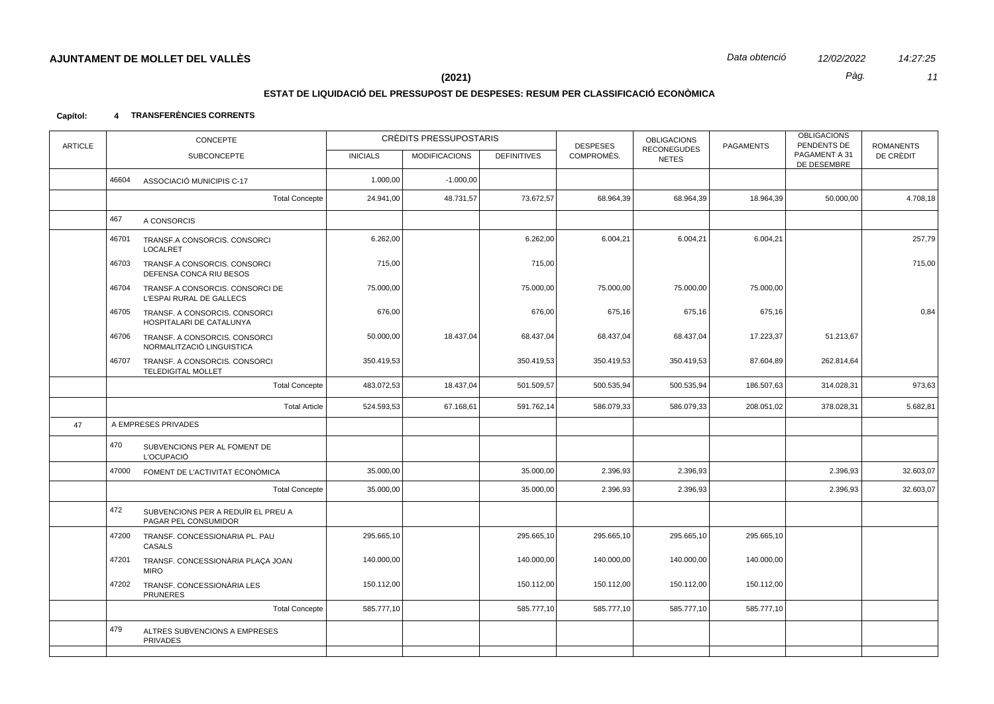14:27:25  $11$ 

Pàg.

 $(2021)$ 

# ESTAT DE LIQUIDACIÓ DEL PRESSUPOST DE DESPESES: RESUM PER CLASSIFICACIÓ ECONÒMICA

#### 4 TRANSFERÈNCIES CORRENTS Capítol:

| <b>ARTICLE</b> | <b>CONCEPTE</b> |                                                             |                 | CRÈDITS PRESSUPOSTARIS |                    | <b>DESPESES</b> | <b>OBLIGACIONS</b><br><b>RECONEGUDES</b> | <b>PAGAMENTS</b> | <b>OBLIGACIONS</b><br>PENDENTS DE | <b>ROMANENTS</b> |
|----------------|-----------------|-------------------------------------------------------------|-----------------|------------------------|--------------------|-----------------|------------------------------------------|------------------|-----------------------------------|------------------|
|                |                 | SUBCONCEPTE                                                 | <b>INICIALS</b> | <b>MODIFICACIONS</b>   | <b>DEFINITIVES</b> | COMPROMÈS.      | <b>NETES</b>                             |                  | PAGAMENT A 31<br>DE DESEMBRE      | DE CRÈDIT        |
|                | 46604           | ASSOCIACIÓ MUNICIPIS C-17                                   | 1.000,00        | $-1.000,00$            |                    |                 |                                          |                  |                                   |                  |
|                |                 | <b>Total Concepte</b>                                       | 24.941,00       | 48.731,57              | 73.672,57          | 68.964,39       | 68.964,39                                | 18.964,39        | 50.000,00                         | 4.708,18         |
|                | 467             | A CONSORCIS                                                 |                 |                        |                    |                 |                                          |                  |                                   |                  |
|                | 46701           | TRANSF.A CONSORCIS. CONSORCI<br><b>LOCALRET</b>             | 6.262,00        |                        | 6.262,00           | 6.004,21        | 6.004,21                                 | 6.004,21         |                                   | 257,79           |
|                | 46703           | TRANSF.A CONSORCIS. CONSORCI<br>DEFENSA CONCA RIU BESOS     | 715,00          |                        | 715,00             |                 |                                          |                  |                                   | 715,00           |
|                | 46704           | TRANSF.A CONSORCIS. CONSORCI DE<br>L'ESPAI RURAL DE GALLECS | 75.000,00       |                        | 75.000,00          | 75.000,00       | 75.000,00                                | 75.000,00        |                                   |                  |
|                | 46705           | TRANSF. A CONSORCIS. CONSORCI<br>HOSPITALARI DE CATALUNYA   | 676,00          |                        | 676,00             | 675,16          | 675,16                                   | 675,16           |                                   | 0,84             |
|                | 46706           | TRANSF. A CONSORCIS. CONSORCI<br>NORMALITZACIÓ LINGUISTICA  | 50.000,00       | 18.437,04              | 68.437,04          | 68.437,04       | 68.437,04                                | 17.223,37        | 51.213,67                         |                  |
|                | 46707           | TRANSF. A CONSORCIS. CONSORCI<br><b>TELEDIGITAL MOLLET</b>  | 350.419,53      |                        | 350.419,53         | 350.419,53      | 350.419,53                               | 87.604,89        | 262.814,64                        |                  |
|                |                 | <b>Total Concepte</b>                                       | 483.072,53      | 18.437,04              | 501.509,57         | 500.535,94      | 500.535,94                               | 186.507,63       | 314.028,31                        | 973,63           |
|                |                 | <b>Total Article</b>                                        | 524.593,53      | 67.168,61              | 591.762,14         | 586.079,33      | 586.079,33                               | 208.051,02       | 378.028,31                        | 5.682,81         |
| 47             |                 | A EMPRESES PRIVADES                                         |                 |                        |                    |                 |                                          |                  |                                   |                  |
|                | 470             | SUBVENCIONS PER AL FOMENT DE<br><b>L'OCUPACIÓ</b>           |                 |                        |                    |                 |                                          |                  |                                   |                  |
|                | 47000           | FOMENT DE L'ACTIVITAT ECONÒMICA                             | 35.000,00       |                        | 35.000,00          | 2.396,93        | 2.396,93                                 |                  | 2.396,93                          | 32.603,07        |
|                |                 | <b>Total Concepte</b>                                       | 35.000,00       |                        | 35.000,00          | 2.396,93        | 2.396,93                                 |                  | 2.396,93                          | 32.603,07        |
|                | 472             | SUBVENCIONS PER A REDUÏR EL PREU A<br>PAGAR PEL CONSUMIDOR  |                 |                        |                    |                 |                                          |                  |                                   |                  |
|                | 47200           | TRANSF. CONCESSIONARIA PL. PAU<br>CASALS                    | 295.665,10      |                        | 295.665,10         | 295.665,10      | 295.665,10                               | 295.665,10       |                                   |                  |
|                | 47201           | TRANSF. CONCESSIONÀRIA PLAÇA JOAN<br><b>MIRO</b>            | 140.000,00      |                        | 140.000,00         | 140.000,00      | 140.000,00                               | 140.000,00       |                                   |                  |
|                | 47202           | TRANSF. CONCESSIONÀRIA LES<br><b>PRUNERES</b>               | 150.112,00      |                        | 150.112,00         | 150.112,00      | 150.112,00                               | 150.112,00       |                                   |                  |
|                |                 | <b>Total Concepte</b>                                       | 585.777,10      |                        | 585.777,10         | 585.777,10      | 585.777,10                               | 585.777,10       |                                   |                  |
|                | 479             | ALTRES SUBVENCIONS A EMPRESES<br><b>PRIVADES</b>            |                 |                        |                    |                 |                                          |                  |                                   |                  |
|                |                 |                                                             |                 |                        |                    |                 |                                          |                  |                                   |                  |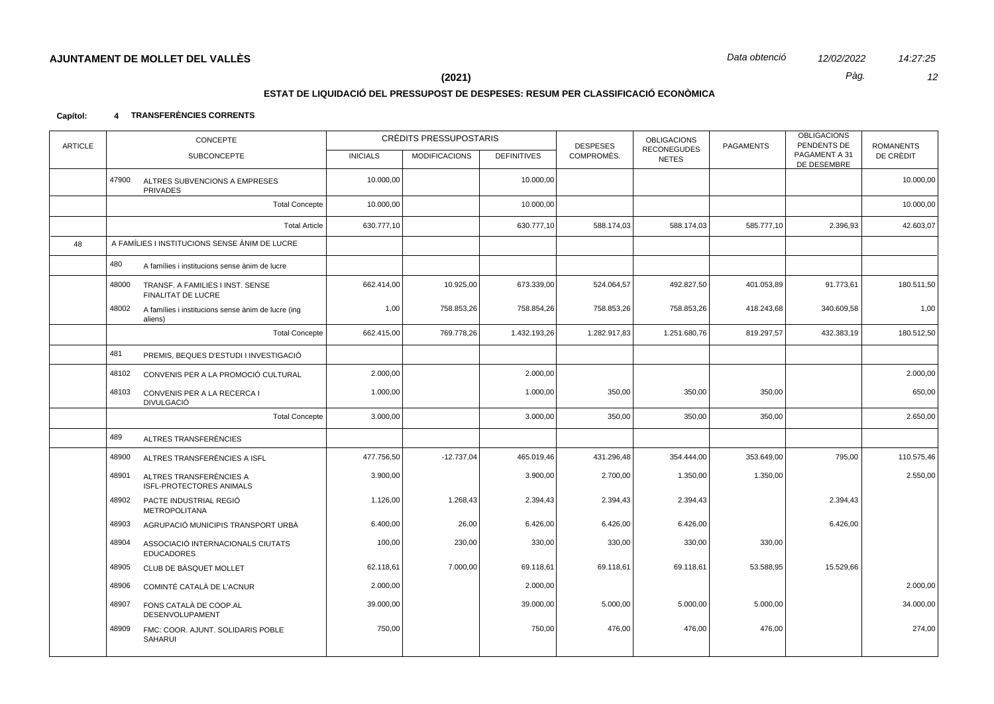# **ESTAT DE LIQUIDACIÓ DEL PRESSUPOST DE DESPESES: RESUM PER CLASSIFICACIÓ ECONÒMICA**

### **Capítol: 4 TRANSFERÈNCIES CORRENTS**

| <b>ARTICLE</b> |       | CONCEPTE                                                      | CRÈDITS PRESSUPOSTARIS |                      |                    | <b>DESPESES</b> | <b>OBLIGACIONS</b><br><b>RECONEGUDES</b> | <b>PAGAMENTS</b> | <b>OBLIGACIONS</b><br>PENDENTS DE | <b>ROMANENTS</b> |
|----------------|-------|---------------------------------------------------------------|------------------------|----------------------|--------------------|-----------------|------------------------------------------|------------------|-----------------------------------|------------------|
|                |       | <b>SUBCONCEPTE</b>                                            | <b>INICIALS</b>        | <b>MODIFICACIONS</b> | <b>DEFINITIVES</b> | COMPROMÈS.      | <b>NETES</b>                             |                  | PAGAMENT A 31<br>DE DESEMBRE      | DE CRÈDIT        |
|                | 47900 | ALTRES SUBVENCIONS A EMPRESES<br><b>PRIVADES</b>              | 10.000,00              |                      | 10.000,00          |                 |                                          |                  |                                   | 10.000,00        |
|                |       | <b>Total Concepte</b>                                         | 10.000,00              |                      | 10.000,00          |                 |                                          |                  |                                   | 10.000,00        |
|                |       | <b>Total Article</b>                                          | 630.777,10             |                      | 630.777,10         | 588.174,03      | 588.174,03                               | 585.777,10       | 2.396,93                          | 42.603,07        |
| 48             |       | A FAMÍLIES I INSTITUCIONS SENSE ÀNIM DE LUCRE                 |                        |                      |                    |                 |                                          |                  |                                   |                  |
|                | 480   | A famílies i institucions sense ànim de lucre                 |                        |                      |                    |                 |                                          |                  |                                   |                  |
|                | 48000 | TRANSF. A FAMILIES I INST. SENSE<br>FINALITAT DE LUCRE        | 662.414,00             | 10.925,00            | 673.339,00         | 524.064,57      | 492.827,50                               | 401.053,89       | 91.773,61                         | 180.511,50       |
|                | 48002 | A famílies i institucions sense ànim de lucre (ing<br>aliens) | 1,00                   | 758.853,26           | 758.854,26         | 758.853,26      | 758.853,26                               | 418.243,68       | 340.609,58                        | 1,00             |
|                |       | <b>Total Concepte</b>                                         | 662.415,00             | 769.778,26           | 1.432.193,26       | 1.282.917,83    | 1.251.680,76                             | 819.297,57       | 432.383,19                        | 180.512,50       |
|                | 481   | PREMIS, BEQUES D'ESTUDI I INVESTIGACIÓ                        |                        |                      |                    |                 |                                          |                  |                                   |                  |
|                | 48102 | CONVENIS PER A LA PROMOCIÓ CULTURAL                           | 2.000,00               |                      | 2.000,00           |                 |                                          |                  |                                   | 2.000,00         |
|                | 48103 | CONVENIS PER A LA RECERCA I<br><b>DIVULGACIÓ</b>              | 1.000,00               |                      | 1.000,00           | 350,00          | 350,00                                   | 350,00           |                                   | 650,00           |
|                |       | <b>Total Concepte</b>                                         | 3.000,00               |                      | 3.000,00           | 350,00          | 350,00                                   | 350,00           |                                   | 2.650,00         |
|                | 489   | ALTRES TRANSFERÈNCIES                                         |                        |                      |                    |                 |                                          |                  |                                   |                  |
|                | 48900 | ALTRES TRANSFERÈNCIES A ISFL                                  | 477.756,50             | $-12.737,04$         | 465.019,46         | 431.296,48      | 354.444,00                               | 353.649,00       | 795,00                            | 110.575,46       |
|                | 48901 | ALTRES TRANSFERÈNCIES A<br><b>ISFL-PROTECTORES ANIMALS</b>    | 3.900,00               |                      | 3.900,00           | 2.700,00        | 1.350,00                                 | 1.350,00         |                                   | 2.550,00         |
|                | 48902 | PACTE INDUSTRIAL REGIÓ<br>METROPOLITANA                       | 1.126,00               | 1.268,43             | 2.394,43           | 2.394,43        | 2.394,43                                 |                  | 2.394,43                          |                  |
|                | 48903 | AGRUPACIÓ MUNICIPIS TRANSPORT URBÀ                            | 6.400,00               | 26,00                | 6.426,00           | 6.426,00        | 6.426,00                                 |                  | 6.426,00                          |                  |
|                | 48904 | ASSOCIACIÓ INTERNACIONALS CIUTATS<br><b>EDUCADORES</b>        | 100,00                 | 230,00               | 330,00             | 330,00          | 330,00                                   | 330,00           |                                   |                  |
|                | 48905 | CLUB DE BÀSQUET MOLLET                                        | 62.118,61              | 7.000,00             | 69.118,61          | 69.118,61       | 69.118,61                                | 53.588,95        | 15.529,66                         |                  |
|                | 48906 | COMINTÉ CATALÀ DE L'ACNUR                                     | 2.000,00               |                      | 2.000,00           |                 |                                          |                  |                                   | 2.000,00         |
|                | 48907 | FONS CATALÀ DE COOP.AL<br>DESENVOLUPAMENT                     | 39.000,00              |                      | 39.000,00          | 5.000,00        | 5.000,00                                 | 5.000,00         |                                   | 34.000,00        |
|                | 48909 | FMC: COOR. AJUNT. SOLIDARIS POBLE<br>SAHARUI                  | 750,00                 |                      | 750,00             | 476,00          | 476,00                                   | 476,00           |                                   | 274,00           |
|                |       |                                                               |                        |                      |                    |                 |                                          |                  |                                   |                  |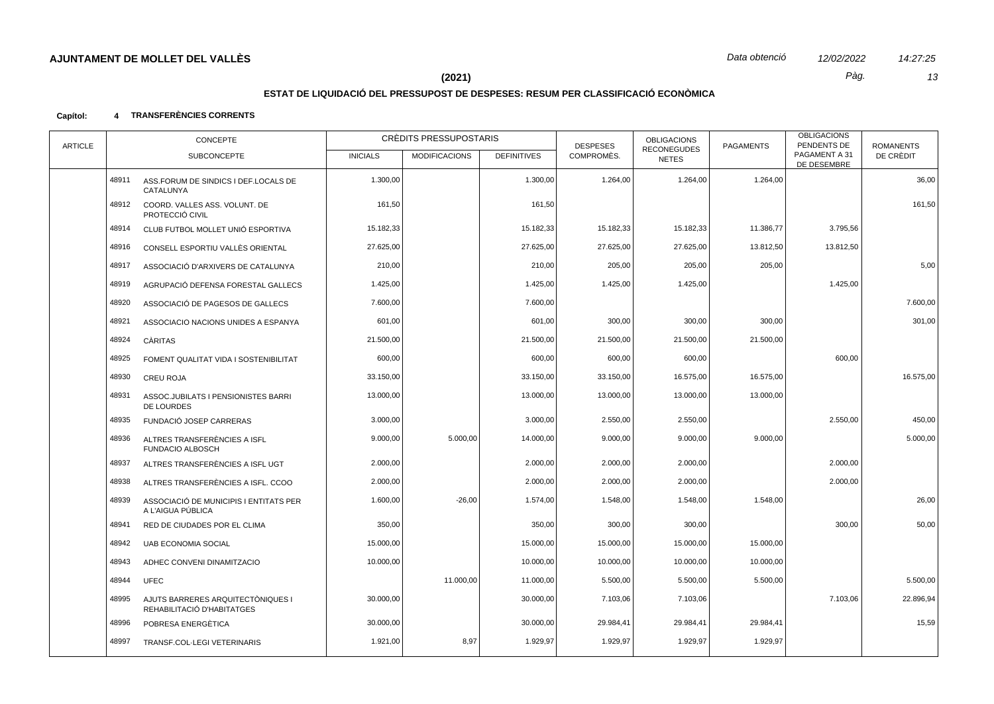# 14:27:25 13

Pàg.

# $(2021)$

# ESTAT DE LIQUIDACIÓ DEL PRESSUPOST DE DESPESES: RESUM PER CLASSIFICACIÓ ECONÒMICA

#### 4 TRANSFERÈNCIES CORRENTS Capítol:

| <b>ARTICLE</b> |       | CONCEPTE                                                        |                 | CRÈDITS PRESSUPOSTARIS<br><b>OBLIGACIONS</b><br>PENDENTS DE<br><b>DESPESES</b><br><b>PAGAMENTS</b> |                    |            |                                    |           | <b>OBLIGACIONS</b>           | <b>ROMANENTS</b> |
|----------------|-------|-----------------------------------------------------------------|-----------------|----------------------------------------------------------------------------------------------------|--------------------|------------|------------------------------------|-----------|------------------------------|------------------|
|                |       | <b>SUBCONCEPTE</b>                                              | <b>INICIALS</b> | <b>MODIFICACIONS</b>                                                                               | <b>DEFINITIVES</b> | COMPROMÈS. | <b>RECONEGUDES</b><br><b>NETES</b> |           | PAGAMENT A 31<br>DE DESEMBRE | DE CRÈDIT        |
|                | 48911 | ASS.FORUM DE SINDICS I DEF.LOCALS DE<br>CATALUNYA               | 1.300,00        |                                                                                                    | 1.300,00           | 1.264,00   | 1.264,00                           | 1.264,00  |                              | 36,00            |
|                | 48912 | COORD. VALLES ASS. VOLUNT. DE<br>PROTECCIÓ CIVIL                | 161,50          |                                                                                                    | 161,50             |            |                                    |           |                              | 161,50           |
|                | 48914 | CLUB FUTBOL MOLLET UNIÓ ESPORTIVA                               | 15.182,33       |                                                                                                    | 15.182,33          | 15.182,33  | 15.182,33                          | 11.386,77 | 3.795,56                     |                  |
|                | 48916 | CONSELL ESPORTIU VALLÈS ORIENTAL                                | 27.625,00       |                                                                                                    | 27.625,00          | 27.625,00  | 27.625,00                          | 13.812,50 | 13.812,50                    |                  |
|                | 48917 | ASSOCIACIÓ D'ARXIVERS DE CATALUNYA                              | 210,00          |                                                                                                    | 210,00             | 205,00     | 205,00                             | 205,00    |                              | 5,00             |
|                | 48919 | AGRUPACIÓ DEFENSA FORESTAL GALLECS                              | 1.425,00        |                                                                                                    | 1.425,00           | 1.425,00   | 1.425,00                           |           | 1.425,00                     |                  |
|                | 48920 | ASSOCIACIÓ DE PAGESOS DE GALLECS                                | 7.600.00        |                                                                                                    | 7.600,00           |            |                                    |           |                              | 7.600,00         |
|                | 48921 | ASSOCIACIO NACIONS UNIDES A ESPANYA                             | 601,00          |                                                                                                    | 601,00             | 300,00     | 300,00                             | 300,00    |                              | 301,00           |
|                | 48924 | CÀRITAS                                                         | 21.500,00       |                                                                                                    | 21.500,00          | 21.500,00  | 21.500,00                          | 21.500,00 |                              |                  |
|                | 48925 | FOMENT QUALITAT VIDA I SOSTENIBILITAT                           | 600,00          |                                                                                                    | 600,00             | 600,00     | 600,00                             |           | 600,00                       |                  |
|                | 48930 | <b>CREU ROJA</b>                                                | 33.150,00       |                                                                                                    | 33.150,00          | 33.150,00  | 16.575,00                          | 16.575,00 |                              | 16.575,00        |
|                | 48931 | ASSOC.JUBILATS I PENSIONISTES BARRI<br>DE LOURDES               | 13.000,00       |                                                                                                    | 13.000,00          | 13.000,00  | 13.000,00                          | 13.000,00 |                              |                  |
|                | 48935 | FUNDACIÓ JOSEP CARRERAS                                         | 3.000,00        |                                                                                                    | 3.000,00           | 2.550,00   | 2.550,00                           |           | 2.550,00                     | 450,00           |
|                | 48936 | ALTRES TRANSFERÈNCIES A ISFL<br><b>FUNDACIO ALBOSCH</b>         | 9.000,00        | 5.000,00                                                                                           | 14.000,00          | 9.000,00   | 9.000,00                           | 9.000,00  |                              | 5.000,00         |
|                | 48937 | ALTRES TRANSFERÈNCIES A ISFL UGT                                | 2.000,00        |                                                                                                    | 2.000,00           | 2.000,00   | 2.000,00                           |           | 2.000,00                     |                  |
|                | 48938 | ALTRES TRANSFERÈNCIES A ISFL. CCOO                              | 2.000,00        |                                                                                                    | 2.000,00           | 2.000,00   | 2.000,00                           |           | 2.000,00                     |                  |
|                | 48939 | ASSOCIACIÓ DE MUNICIPIS I ENTITATS PER<br>A L'AIGUA PÚBLICA     | 1.600,00        | $-26,00$                                                                                           | 1.574,00           | 1.548,00   | 1.548,00                           | 1.548,00  |                              | 26,00            |
|                | 48941 | RED DE CIUDADES POR EL CLIMA                                    | 350,00          |                                                                                                    | 350,00             | 300,00     | 300,00                             |           | 300,00                       | 50,00            |
|                | 48942 | <b>UAB ECONOMIA SOCIAL</b>                                      | 15.000,00       |                                                                                                    | 15.000,00          | 15.000,00  | 15.000,00                          | 15.000,00 |                              |                  |
|                | 48943 | ADHEC CONVENI DINAMITZACIO                                      | 10.000,00       |                                                                                                    | 10.000,00          | 10.000,00  | 10.000,00                          | 10.000,00 |                              |                  |
|                | 48944 | <b>UFEC</b>                                                     |                 | 11.000,00                                                                                          | 11.000,00          | 5.500,00   | 5.500,00                           | 5.500,00  |                              | 5.500,00         |
|                | 48995 | AJUTS BARRERES ARQUITECTÒNIQUES I<br>REHABILITACIÓ D'HABITATGES | 30.000,00       |                                                                                                    | 30.000,00          | 7.103,06   | 7.103,06                           |           | 7.103,06                     | 22.896,94        |
|                | 48996 | POBRESA ENERGÈTICA                                              | 30.000,00       |                                                                                                    | 30.000,00          | 29.984,41  | 29.984,41                          | 29.984,41 |                              | 15,59            |
|                | 48997 | TRANSF.COL-LEGI VETERINARIS                                     | 1.921,00        | 8,97                                                                                               | 1.929,97           | 1.929,97   | 1.929,97                           | 1.929,97  |                              |                  |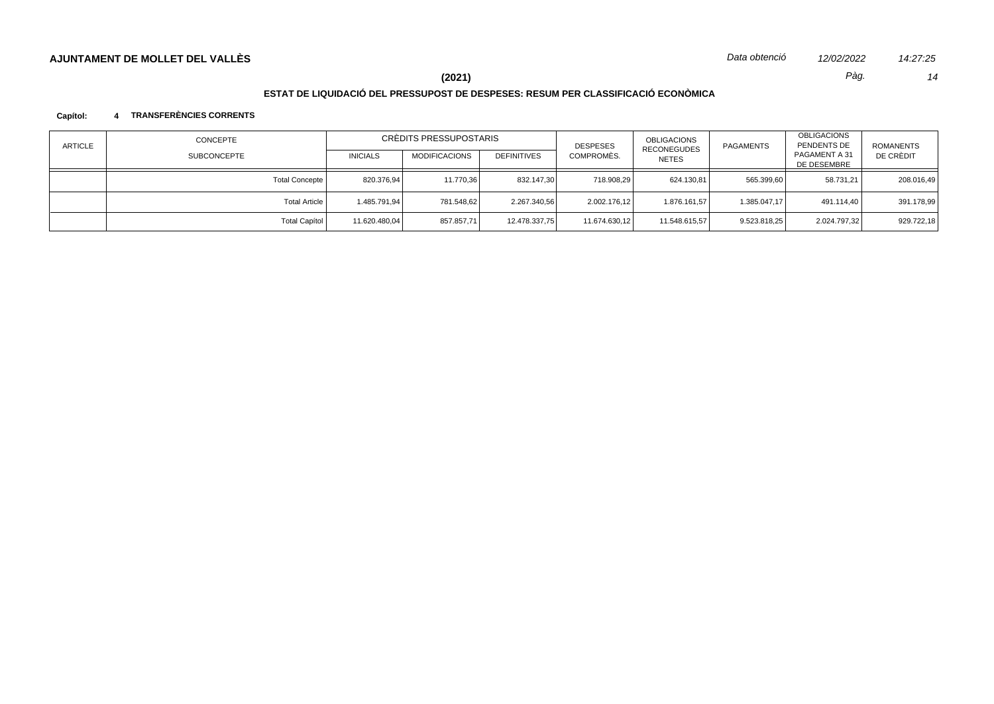# **ESTAT DE LIQUIDACIÓ DEL PRESSUPOST DE DESPESES: RESUM PER CLASSIFICACIÓ ECONÒMICA**

### **Capítol: 4 TRANSFERÈNCIES CORRENTS**

| <b>ARTICLE</b> | CONCEPTE           | CRÈDITS PRESSUPOSTARIS |                      |                    | <b>DESPESES</b> | <b>OBLIGACIONS</b><br><b>RECONEGUDES</b> | <b>PAGAMENTS</b> | OBLIGACIONS<br>PENDENTS DE   | ROMANENTS  |
|----------------|--------------------|------------------------|----------------------|--------------------|-----------------|------------------------------------------|------------------|------------------------------|------------|
|                | <b>SUBCONCEPTE</b> | <b>INICIALS</b>        | <b>MODIFICACIONS</b> | <b>DEFINITIVES</b> | COMPROMÈS.      | <b>NETES</b>                             |                  | PAGAMENT A 31<br>DE DESEMBRE | DE CRÈDIT  |
|                | Total Concepte     | 820.376.94             | 11.770,36            | 832.147.30         | 718.908.29      | 624.130.81                               | 565.399,60       | 58.731.21                    | 208.016,49 |
|                | Total Article      | 1.485.791.94           | 781.548.62           | 2.267.340,56       | 2.002.176,12    | 1.876.161,57                             | 1.385.047.17     | 491.114.40                   | 391.178,99 |
|                | Total Capítol      | 11.620.480,04          | 857.857,71           | 12.478.337,75      | 11.674.630,12   | 11.548.615,57                            | 9.523.818.25     | 2.024.797,32                 | 929.722,18 |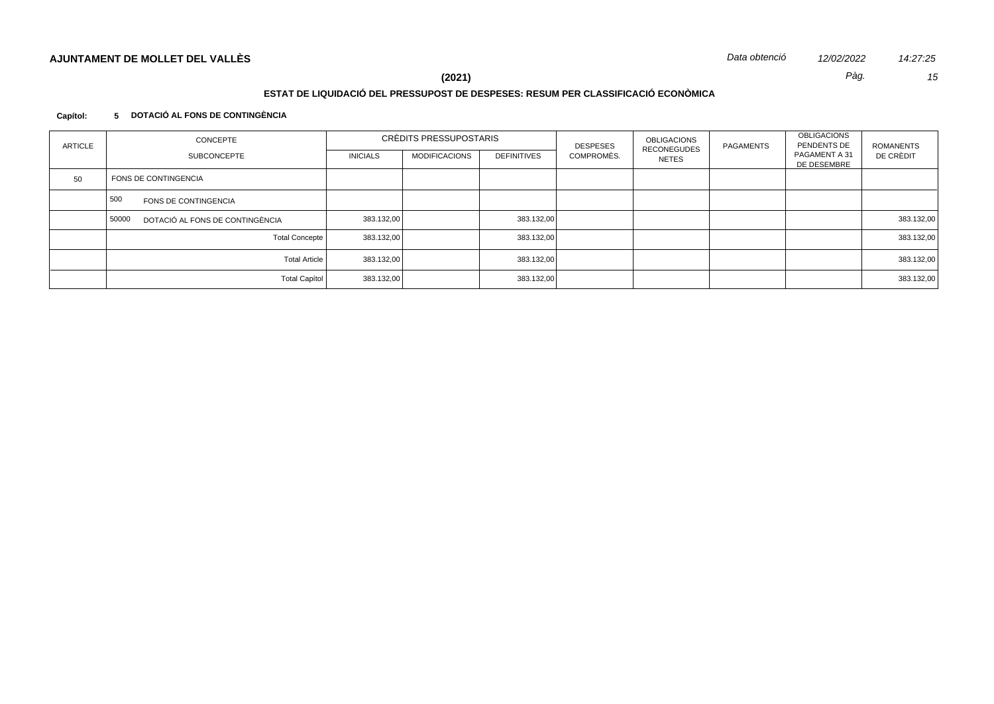# **ESTAT DE LIQUIDACIÓ DEL PRESSUPOST DE DESPESES: RESUM PER CLASSIFICACIÓ ECONÒMICA**

### **Capítol: 5 DOTACIÓ AL FONS DE CONTINGÈNCIA**

| ARTICLE | CONCEPTE                                 | CRÈDITS PRESSUPOSTARIS |                      |                    | <b>DESPESES</b> | <b>OBLIGACIONS</b>                 | PAGAMENTS | <b>OBLIGACIONS</b><br>PENDENTS DE | <b>ROMANENTS</b> |
|---------|------------------------------------------|------------------------|----------------------|--------------------|-----------------|------------------------------------|-----------|-----------------------------------|------------------|
|         | <b>SUBCONCEPTE</b>                       | <b>INICIALS</b>        | <b>MODIFICACIONS</b> | <b>DEFINITIVES</b> | COMPROMÈS.      | <b>RECONEGUDES</b><br><b>NETES</b> |           | PAGAMENT A 31<br>DE DESEMBRE      | DE CRÈDIT        |
| 50      | FONS DE CONTINGENCIA                     |                        |                      |                    |                 |                                    |           |                                   |                  |
|         | 500<br>FONS DE CONTINGENCIA              |                        |                      |                    |                 |                                    |           |                                   |                  |
|         | DOTACIÓ AL FONS DE CONTINGÈNCIA<br>50000 | 383.132,00             |                      | 383.132,00         |                 |                                    |           |                                   | 383.132,00       |
|         | <b>Total Concepte</b>                    | 383.132,00             |                      | 383.132,00         |                 |                                    |           |                                   | 383.132,00       |
|         | <b>Total Article</b>                     | 383.132,00             |                      | 383.132,00         |                 |                                    |           |                                   | 383.132,00       |
|         | <b>Total Capítol</b>                     | 383.132,00             |                      | 383.132,00         |                 |                                    |           |                                   | 383.132,00       |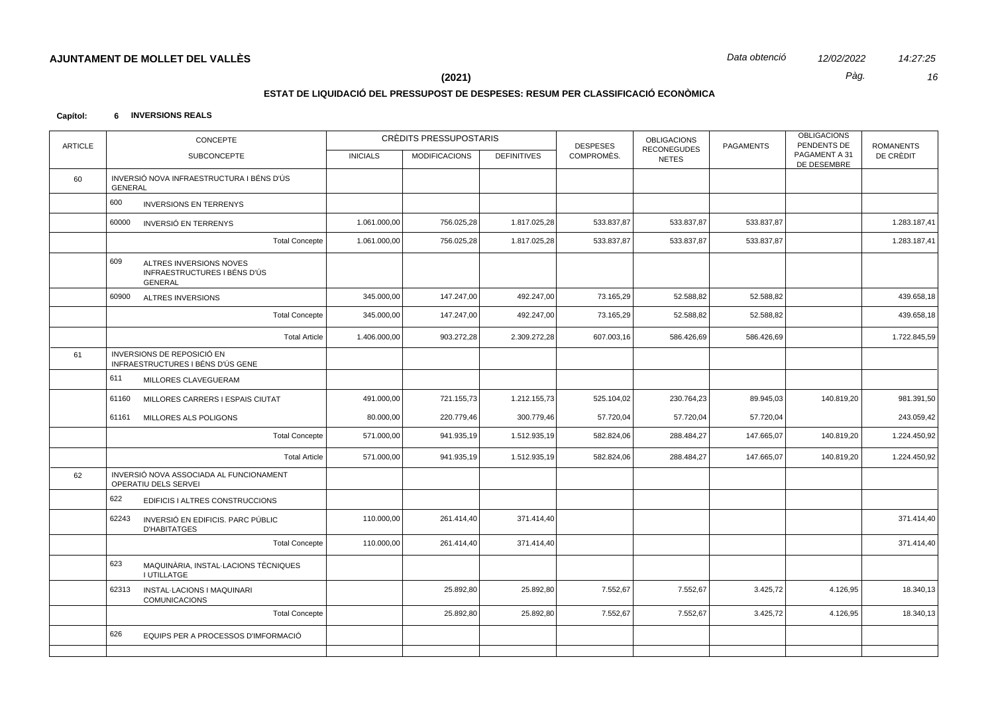# **ESTAT DE LIQUIDACIÓ DEL PRESSUPOST DE DESPESES: RESUM PER CLASSIFICACIÓ ECONÒMICA**

#### **Capítol: 6 INVERSIONS REALS**

| <b>ARTICLE</b> | CONCEPTE       |                                                                           | CRÈDITS PRESSUPOSTARIS |                 |                      | <b>DESPESES</b>    | <b>OBLIGACIONS</b><br><b>RECONEGUDES</b> | <b>PAGAMENTS</b> | <b>OBLIGACIONS</b><br>PENDENTS DE | <b>ROMANENTS</b>             |              |
|----------------|----------------|---------------------------------------------------------------------------|------------------------|-----------------|----------------------|--------------------|------------------------------------------|------------------|-----------------------------------|------------------------------|--------------|
|                |                | SUBCONCEPTE                                                               |                        | <b>INICIALS</b> | <b>MODIFICACIONS</b> | <b>DEFINITIVES</b> | COMPROMÈS.                               | <b>NETES</b>     |                                   | PAGAMENT A 31<br>DE DESEMBRE | DE CRÈDIT    |
| 60             | <b>GENERAL</b> | INVERSIÓ NOVA INFRAESTRUCTURA I BÉNS D'ÚS                                 |                        |                 |                      |                    |                                          |                  |                                   |                              |              |
|                | 600            | <b>INVERSIONS EN TERRENYS</b>                                             |                        |                 |                      |                    |                                          |                  |                                   |                              |              |
|                | 60000          | INVERSIÓ EN TERRENYS                                                      |                        | 1.061.000,00    | 756.025,28           | 1.817.025,28       | 533.837,87                               | 533.837,87       | 533.837,87                        |                              | 1.283.187,41 |
|                |                |                                                                           | <b>Total Concepte</b>  | 1.061.000,00    | 756.025,28           | 1.817.025,28       | 533.837,87                               | 533.837,87       | 533.837,87                        |                              | 1.283.187,41 |
|                | 609            | ALTRES INVERSIONS NOVES<br>INFRAESTRUCTURES I BÉNS D'ÚS<br><b>GENERAL</b> |                        |                 |                      |                    |                                          |                  |                                   |                              |              |
|                | 60900          | ALTRES INVERSIONS                                                         |                        | 345.000,00      | 147.247,00           | 492.247,00         | 73.165,29                                | 52.588,82        | 52.588,82                         |                              | 439.658,18   |
|                |                |                                                                           | <b>Total Concepte</b>  | 345.000,00      | 147.247,00           | 492.247,00         | 73.165,29                                | 52.588,82        | 52.588,82                         |                              | 439.658,18   |
|                |                |                                                                           | <b>Total Article</b>   | 1.406.000,00    | 903.272,28           | 2.309.272,28       | 607.003,16                               | 586.426,69       | 586.426,69                        |                              | 1.722.845,59 |
| 61             |                | INVERSIONS DE REPOSICIÓ EN<br>INFRAESTRUCTURES I BÉNS D'ÚS GENE           |                        |                 |                      |                    |                                          |                  |                                   |                              |              |
|                | 611            | MILLORES CLAVEGUERAM                                                      |                        |                 |                      |                    |                                          |                  |                                   |                              |              |
|                | 61160          | MILLORES CARRERS I ESPAIS CIUTAT                                          |                        | 491.000,00      | 721.155,73           | 1.212.155,73       | 525.104,02                               | 230.764,23       | 89.945,03                         | 140.819,20                   | 981.391,50   |
|                | 61161          | MILLORES ALS POLIGONS                                                     |                        | 80.000,00       | 220.779,46           | 300.779,46         | 57.720,04                                | 57.720,04        | 57.720,04                         |                              | 243.059,42   |
|                |                |                                                                           | <b>Total Concepte</b>  | 571.000,00      | 941.935,19           | 1.512.935,19       | 582.824,06                               | 288.484,27       | 147.665,07                        | 140.819,20                   | 1.224.450,92 |
|                |                |                                                                           | <b>Total Article</b>   | 571.000,00      | 941.935,19           | 1.512.935,19       | 582.824,06                               | 288.484,27       | 147.665,07                        | 140.819,20                   | 1.224.450,92 |
| 62             |                | INVERSIÓ NOVA ASSOCIADA AL FUNCIONAMENT<br>OPERATIU DELS SERVEI           |                        |                 |                      |                    |                                          |                  |                                   |                              |              |
|                | 622            | EDIFICIS I ALTRES CONSTRUCCIONS                                           |                        |                 |                      |                    |                                          |                  |                                   |                              |              |
|                | 62243          | INVERSIÓ EN EDIFICIS. PARC PÚBLIC<br><b>D'HABITATGES</b>                  |                        | 110.000,00      | 261.414,40           | 371.414,40         |                                          |                  |                                   |                              | 371.414,40   |
|                |                |                                                                           | <b>Total Concepte</b>  | 110.000,00      | 261.414,40           | 371.414,40         |                                          |                  |                                   |                              | 371.414,40   |
|                | 623            | MAQUINÀRIA, INSTAL·LACIONS TÈCNIQUES<br><b>I UTILLATGE</b>                |                        |                 |                      |                    |                                          |                  |                                   |                              |              |
|                | 62313          | INSTAL-LACIONS I MAQUINARI<br><b>COMUNICACIONS</b>                        |                        |                 | 25.892,80            | 25.892,80          | 7.552,67                                 | 7.552,67         | 3.425,72                          | 4.126,95                     | 18.340,13    |
|                |                |                                                                           | <b>Total Concepte</b>  |                 | 25.892,80            | 25.892,80          | 7.552,67                                 | 7.552,67         | 3.425,72                          | 4.126,95                     | 18.340,13    |
|                | 626            | EQUIPS PER A PROCESSOS D'IMFORMACIÓ                                       |                        |                 |                      |                    |                                          |                  |                                   |                              |              |
|                |                |                                                                           |                        |                 |                      |                    |                                          |                  |                                   |                              |              |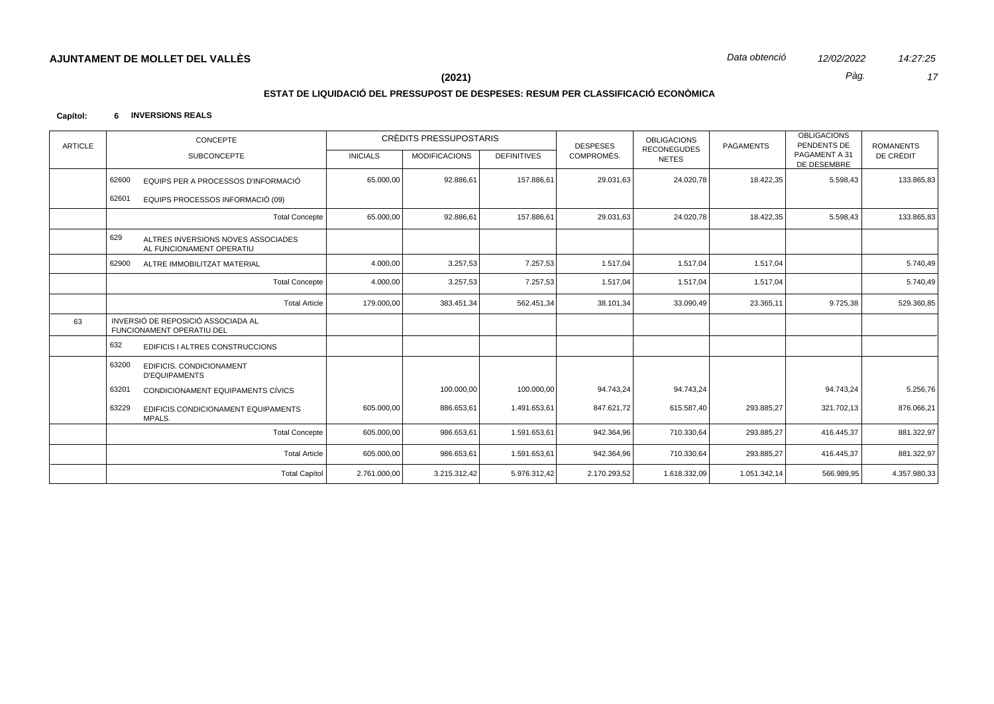14:27:25 17

Pàg.

## $(2021)$

# ESTAT DE LIQUIDACIÓ DEL PRESSUPOST DE DESPESES: RESUM PER CLASSIFICACIÓ ECONÒMICA

#### Capítol: 6 INVERSIONS REALS

| <b>ARTICLE</b> | CONCEPTE                                                               |                 | CRÈDITS PRESSUPOSTARIS |                    | <b>DESPESES</b> | <b>OBLIGACIONS</b>                 | <b>OBLIGACIONS</b><br>PENDENTS DE<br><b>PAGAMENTS</b> |                              | <b>ROMANENTS</b> |
|----------------|------------------------------------------------------------------------|-----------------|------------------------|--------------------|-----------------|------------------------------------|-------------------------------------------------------|------------------------------|------------------|
|                | <b>SUBCONCEPTE</b>                                                     | <b>INICIALS</b> | <b>MODIFICACIONS</b>   | <b>DEFINITIVES</b> | COMPROMÈS.      | <b>RECONEGUDES</b><br><b>NETES</b> |                                                       | PAGAMENT A 31<br>DE DESEMBRE | DE CRÈDIT        |
|                | 62600<br>EQUIPS PER A PROCESSOS D'INFORMACIÓ                           | 65.000,00       | 92.886,61              | 157.886,61         | 29.031,63       | 24.020,78                          | 18.422,35                                             | 5.598,43                     | 133.865,83       |
|                | 62601<br>EQUIPS PROCESSOS INFORMACIÓ (09)                              |                 |                        |                    |                 |                                    |                                                       |                              |                  |
|                | <b>Total Concepte</b>                                                  | 65.000,00       | 92.886,61              | 157.886,61         | 29.031,63       | 24.020,78                          | 18.422,35                                             | 5.598,43                     | 133.865,83       |
|                | 629<br>ALTRES INVERSIONS NOVES ASSOCIADES<br>AL FUNCIONAMENT OPERATIU  |                 |                        |                    |                 |                                    |                                                       |                              |                  |
|                | 62900<br>ALTRE IMMOBILITZAT MATERIAL                                   | 4.000,00        | 3.257,53               | 7.257,53           | 1.517,04        | 1.517,04                           | 1.517,04                                              |                              | 5.740,49         |
|                | <b>Total Concepte</b>                                                  | 4.000,00        | 3.257,53               | 7.257,53           | 1.517,04        | 1.517,04                           | 1.517,04                                              |                              | 5.740,49         |
|                | <b>Total Article</b>                                                   | 179.000,00      | 383.451,34             | 562.451,34         | 38.101,34       | 33.090,49                          | 23.365,11                                             | 9.725,38                     | 529.360,85       |
| 63             | INVERSIÓ DE REPOSICIÓ ASSOCIADA AL<br><b>FUNCIONAMENT OPERATIU DEL</b> |                 |                        |                    |                 |                                    |                                                       |                              |                  |
|                | 632<br>EDIFICIS I ALTRES CONSTRUCCIONS                                 |                 |                        |                    |                 |                                    |                                                       |                              |                  |
|                | 63200<br>EDIFICIS. CONDICIONAMENT<br><b>D'EQUIPAMENTS</b>              |                 |                        |                    |                 |                                    |                                                       |                              |                  |
|                | 63201<br>CONDICIONAMENT EQUIPAMENTS CÍVICS                             |                 | 100.000,00             | 100.000,00         | 94.743,24       | 94.743,24                          |                                                       | 94.743,24                    | 5.256,76         |
|                | 63229<br>EDIFICIS.CONDICIONAMENT EQUIPAMENTS<br>MPALS.                 | 605.000,00      | 886.653,61             | 1.491.653,61       | 847.621,72      | 615.587,40                         | 293.885,27                                            | 321.702,13                   | 876.066,21       |
|                | <b>Total Concepte</b>                                                  | 605.000,00      | 986.653,61             | 1.591.653,61       | 942.364,96      | 710.330,64                         | 293.885,27                                            | 416.445,37                   | 881.322,97       |
|                | <b>Total Article</b>                                                   | 605.000,00      | 986.653,61             | 1.591.653,61       | 942.364,96      | 710.330,64                         | 293.885,27                                            | 416.445,37                   | 881.322,97       |
|                | <b>Total Capítol</b>                                                   | 2.761.000,00    | 3.215.312,42           | 5.976.312,42       | 2.170.293,52    | 1.618.332,09                       | 1.051.342,14                                          | 566.989,95                   | 4.357.980,33     |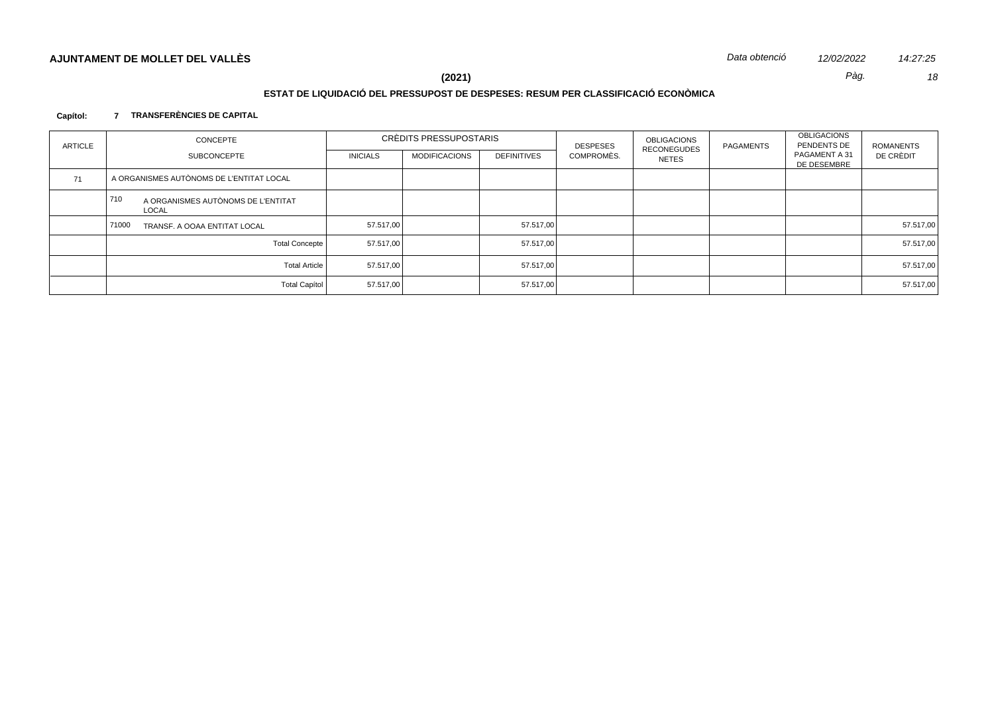## **ESTAT DE LIQUIDACIÓ DEL PRESSUPOST DE DESPESES: RESUM PER CLASSIFICACIÓ ECONÒMICA**

### **Capítol: 7 TRANSFERÈNCIES DE CAPITAL**

| <b>ARTICLE</b> | CONCEPTE                                           | CRÈDITS PRESSUPOSTARIS |                      |                    | <b>DESPESES</b> | OBLIGACIONS<br><b>RECONEGUDES</b> | <b>PAGAMENTS</b> | OBLIGACIONS<br>PENDENTS DE   | ROMANENTS |
|----------------|----------------------------------------------------|------------------------|----------------------|--------------------|-----------------|-----------------------------------|------------------|------------------------------|-----------|
|                | SUBCONCEPTE                                        | <b>INICIALS</b>        | <b>MODIFICACIONS</b> | <b>DEFINITIVES</b> | COMPROMÈS.      | <b>NETES</b>                      |                  | PAGAMENT A 31<br>DE DESEMBRE | DE CRÈDIT |
| 71             | A ORGANISMES AUTÒNOMS DE L'ENTITAT LOCAL           |                        |                      |                    |                 |                                   |                  |                              |           |
|                | 710<br>A ORGANISMES AUTÒNOMS DE L'ENTITAT<br>LOCAL |                        |                      |                    |                 |                                   |                  |                              |           |
|                | 71000<br>TRANSF. A OOAA ENTITAT LOCAL              | 57.517.00              |                      | 57.517,00          |                 |                                   |                  |                              | 57.517,00 |
|                | <b>Total Concepte</b>                              | 57.517,00              |                      | 57.517,00          |                 |                                   |                  |                              | 57.517,00 |
|                | <b>Total Article</b>                               | 57.517,00              |                      | 57.517,00          |                 |                                   |                  |                              | 57.517,00 |
|                | <b>Total Capítol</b>                               | 57.517,00              |                      | 57.517,00          |                 |                                   |                  |                              | 57.517,00 |